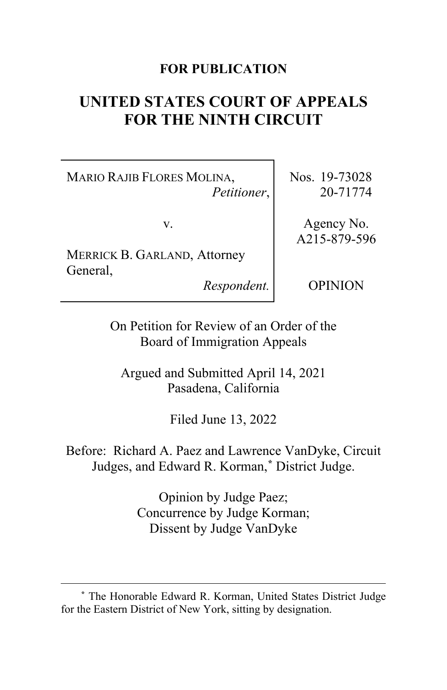# **FOR PUBLICATION**

# **UNITED STATES COURT OF APPEALS FOR THE NINTH CIRCUIT**

MARIO RAJIB FLORES MOLINA, *Petitioner*,

v.

MERRICK B. GARLAND, Attorney General,

*Respondent.*

Nos. 19-73028 20-71774

Agency No. A215-879-596

OPINION

On Petition for Review of an Order of the Board of Immigration Appeals

Argued and Submitted April 14, 2021 Pasadena, California

Filed June 13, 2022

Before: Richard A. Paez and Lawrence VanDyke, Circuit Judges, and Edward R. Korman,**[\\*](#page-0-0)** District Judge.

> Opinion by Judge Paez; Concurrence by Judge Korman; Dissent by Judge VanDyke

<span id="page-0-0"></span>**<sup>\*</sup>** The Honorable Edward R. Korman, United States District Judge for the Eastern District of New York, sitting by designation.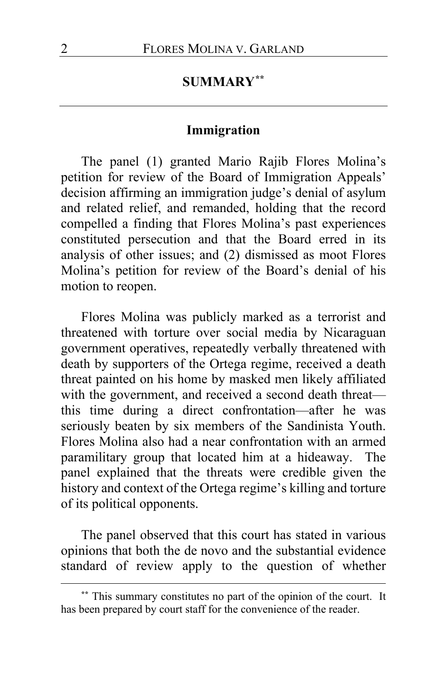# **SUMMARY[\\*\\*](#page-1-0)**

#### **Immigration**

The panel (1) granted Mario Rajib Flores Molina's petition for review of the Board of Immigration Appeals' decision affirming an immigration judge's denial of asylum and related relief, and remanded, holding that the record compelled a finding that Flores Molina's past experiences constituted persecution and that the Board erred in its analysis of other issues; and (2) dismissed as moot Flores Molina's petition for review of the Board's denial of his motion to reopen.

Flores Molina was publicly marked as a terrorist and threatened with torture over social media by Nicaraguan government operatives, repeatedly verbally threatened with death by supporters of the Ortega regime, received a death threat painted on his home by masked men likely affiliated with the government, and received a second death threat this time during a direct confrontation—after he was seriously beaten by six members of the Sandinista Youth. Flores Molina also had a near confrontation with an armed paramilitary group that located him at a hideaway. The panel explained that the threats were credible given the history and context of the Ortega regime's killing and torture of its political opponents.

The panel observed that this court has stated in various opinions that both the de novo and the substantial evidence standard of review apply to the question of whether

<span id="page-1-0"></span>**<sup>\*\*</sup>** This summary constitutes no part of the opinion of the court. It has been prepared by court staff for the convenience of the reader.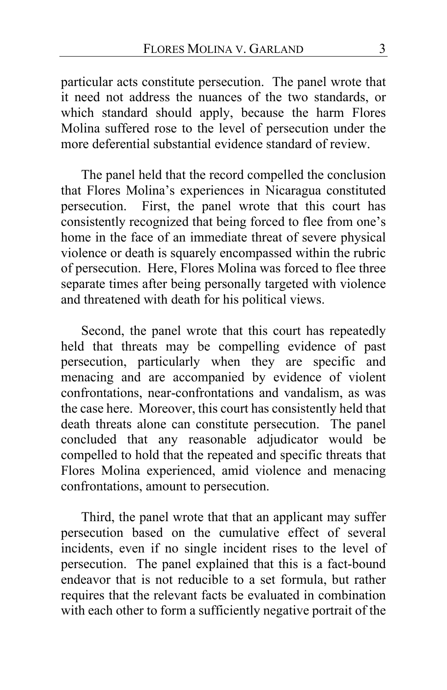particular acts constitute persecution. The panel wrote that it need not address the nuances of the two standards, or which standard should apply, because the harm Flores Molina suffered rose to the level of persecution under the more deferential substantial evidence standard of review.

The panel held that the record compelled the conclusion that Flores Molina's experiences in Nicaragua constituted persecution. First, the panel wrote that this court has consistently recognized that being forced to flee from one's home in the face of an immediate threat of severe physical violence or death is squarely encompassed within the rubric of persecution. Here, Flores Molina was forced to flee three separate times after being personally targeted with violence and threatened with death for his political views.

Second, the panel wrote that this court has repeatedly held that threats may be compelling evidence of past persecution, particularly when they are specific and menacing and are accompanied by evidence of violent confrontations, near-confrontations and vandalism, as was the case here. Moreover, this court has consistently held that death threats alone can constitute persecution. The panel concluded that any reasonable adjudicator would be compelled to hold that the repeated and specific threats that Flores Molina experienced, amid violence and menacing confrontations, amount to persecution.

Third, the panel wrote that that an applicant may suffer persecution based on the cumulative effect of several incidents, even if no single incident rises to the level of persecution. The panel explained that this is a fact-bound endeavor that is not reducible to a set formula, but rather requires that the relevant facts be evaluated in combination with each other to form a sufficiently negative portrait of the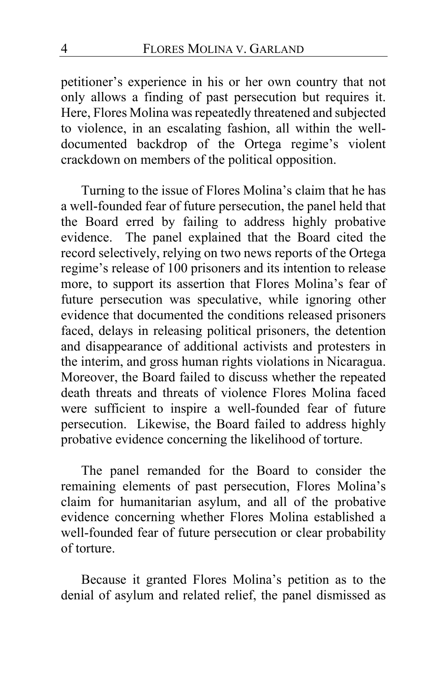petitioner's experience in his or her own country that not only allows a finding of past persecution but requires it. Here, Flores Molina was repeatedly threatened and subjected to violence, in an escalating fashion, all within the welldocumented backdrop of the Ortega regime's violent crackdown on members of the political opposition.

Turning to the issue of Flores Molina's claim that he has a well-founded fear of future persecution, the panel held that the Board erred by failing to address highly probative evidence. The panel explained that the Board cited the record selectively, relying on two news reports of the Ortega regime's release of 100 prisoners and its intention to release more, to support its assertion that Flores Molina's fear of future persecution was speculative, while ignoring other evidence that documented the conditions released prisoners faced, delays in releasing political prisoners, the detention and disappearance of additional activists and protesters in the interim, and gross human rights violations in Nicaragua. Moreover, the Board failed to discuss whether the repeated death threats and threats of violence Flores Molina faced were sufficient to inspire a well-founded fear of future persecution. Likewise, the Board failed to address highly probative evidence concerning the likelihood of torture.

The panel remanded for the Board to consider the remaining elements of past persecution, Flores Molina's claim for humanitarian asylum, and all of the probative evidence concerning whether Flores Molina established a well-founded fear of future persecution or clear probability of torture.

Because it granted Flores Molina's petition as to the denial of asylum and related relief, the panel dismissed as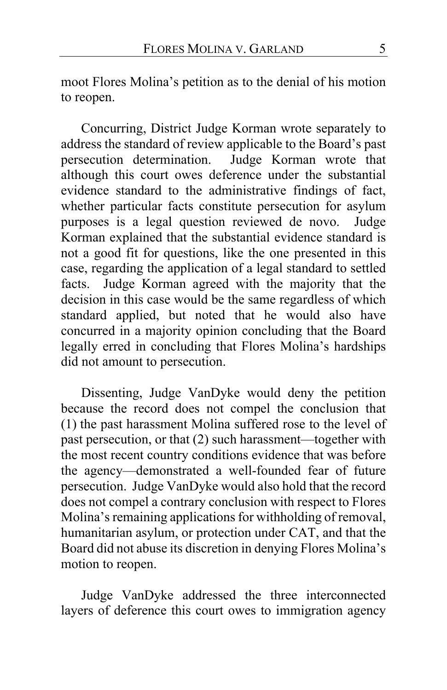moot Flores Molina's petition as to the denial of his motion to reopen.

Concurring, District Judge Korman wrote separately to address the standard of review applicable to the Board's past persecution determination. Judge Korman wrote that although this court owes deference under the substantial evidence standard to the administrative findings of fact, whether particular facts constitute persecution for asylum purposes is a legal question reviewed de novo. Judge Korman explained that the substantial evidence standard is not a good fit for questions, like the one presented in this case, regarding the application of a legal standard to settled facts. Judge Korman agreed with the majority that the decision in this case would be the same regardless of which standard applied, but noted that he would also have concurred in a majority opinion concluding that the Board legally erred in concluding that Flores Molina's hardships did not amount to persecution.

Dissenting, Judge VanDyke would deny the petition because the record does not compel the conclusion that (1) the past harassment Molina suffered rose to the level of past persecution, or that (2) such harassment—together with the most recent country conditions evidence that was before the agency—demonstrated a well-founded fear of future persecution. Judge VanDyke would also hold that the record does not compel a contrary conclusion with respect to Flores Molina's remaining applications for withholding of removal, humanitarian asylum, or protection under CAT, and that the Board did not abuse its discretion in denying Flores Molina's motion to reopen.

Judge VanDyke addressed the three interconnected layers of deference this court owes to immigration agency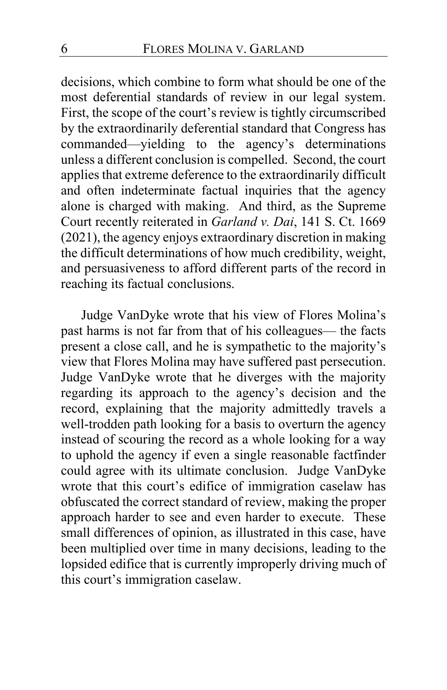decisions, which combine to form what should be one of the most deferential standards of review in our legal system. First, the scope of the court's review is tightly circumscribed by the extraordinarily deferential standard that Congress has commanded—yielding to the agency's determinations unless a different conclusion is compelled. Second, the court applies that extreme deference to the extraordinarily difficult and often indeterminate factual inquiries that the agency alone is charged with making. And third, as the Supreme Court recently reiterated in *Garland v. Dai*, 141 S. Ct. 1669 (2021), the agency enjoys extraordinary discretion in making the difficult determinations of how much credibility, weight, and persuasiveness to afford different parts of the record in reaching its factual conclusions.

Judge VanDyke wrote that his view of Flores Molina's past harms is not far from that of his colleagues— the facts present a close call, and he is sympathetic to the majority's view that Flores Molina may have suffered past persecution. Judge VanDyke wrote that he diverges with the majority regarding its approach to the agency's decision and the record, explaining that the majority admittedly travels a well-trodden path looking for a basis to overturn the agency instead of scouring the record as a whole looking for a way to uphold the agency if even a single reasonable factfinder could agree with its ultimate conclusion. Judge VanDyke wrote that this court's edifice of immigration caselaw has obfuscated the correct standard of review, making the proper approach harder to see and even harder to execute. These small differences of opinion, as illustrated in this case, have been multiplied over time in many decisions, leading to the lopsided edifice that is currently improperly driving much of this court's immigration caselaw.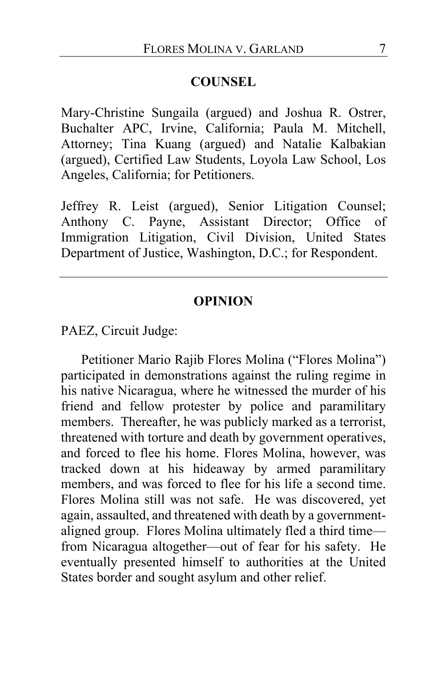#### **COUNSEL**

Mary-Christine Sungaila (argued) and Joshua R. Ostrer, Buchalter APC, Irvine, California; Paula M. Mitchell, Attorney; Tina Kuang (argued) and Natalie Kalbakian (argued), Certified Law Students, Loyola Law School, Los Angeles, California; for Petitioners.

Jeffrey R. Leist (argued), Senior Litigation Counsel; Anthony C. Payne, Assistant Director; Office of Immigration Litigation, Civil Division, United States Department of Justice, Washington, D.C.; for Respondent.

#### **OPINION**

PAEZ, Circuit Judge:

Petitioner Mario Rajib Flores Molina ("Flores Molina") participated in demonstrations against the ruling regime in his native Nicaragua, where he witnessed the murder of his friend and fellow protester by police and paramilitary members. Thereafter, he was publicly marked as a terrorist, threatened with torture and death by government operatives, and forced to flee his home. Flores Molina, however, was tracked down at his hideaway by armed paramilitary members, and was forced to flee for his life a second time. Flores Molina still was not safe. He was discovered, yet again, assaulted, and threatened with death by a governmentaligned group. Flores Molina ultimately fled a third time from Nicaragua altogether—out of fear for his safety. He eventually presented himself to authorities at the United States border and sought asylum and other relief.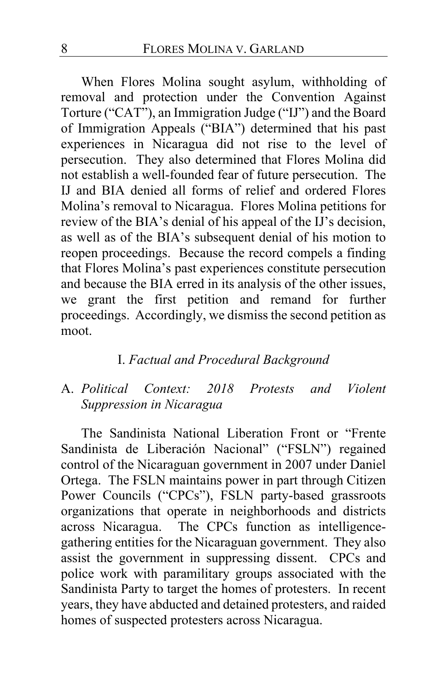When Flores Molina sought asylum, withholding of removal and protection under the Convention Against Torture ("CAT"), an Immigration Judge ("IJ") and the Board of Immigration Appeals ("BIA") determined that his past experiences in Nicaragua did not rise to the level of persecution. They also determined that Flores Molina did not establish a well-founded fear of future persecution. The IJ and BIA denied all forms of relief and ordered Flores Molina's removal to Nicaragua. Flores Molina petitions for review of the BIA's denial of his appeal of the IJ's decision, as well as of the BIA's subsequent denial of his motion to reopen proceedings. Because the record compels a finding that Flores Molina's past experiences constitute persecution and because the BIA erred in its analysis of the other issues, we grant the first petition and remand for further proceedings. Accordingly, we dismiss the second petition as moot.

## I. *Factual and Procedural Background*

# A. *Political Context: 2018 Protests and Violent Suppression in Nicaragua*

The Sandinista National Liberation Front or "Frente Sandinista de Liberación Nacional" ("FSLN") regained control of the Nicaraguan government in 2007 under Daniel Ortega. The FSLN maintains power in part through Citizen Power Councils ("CPCs"), FSLN party-based grassroots organizations that operate in neighborhoods and districts across Nicaragua. The CPCs function as intelligencegathering entities for the Nicaraguan government. They also assist the government in suppressing dissent. CPCs and police work with paramilitary groups associated with the Sandinista Party to target the homes of protesters. In recent years, they have abducted and detained protesters, and raided homes of suspected protesters across Nicaragua.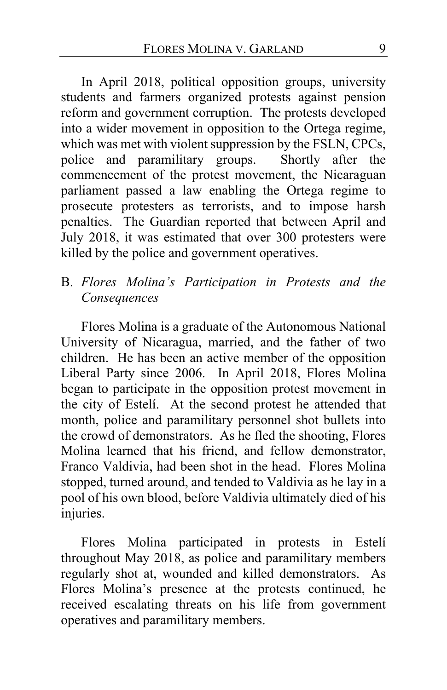In April 2018, political opposition groups, university students and farmers organized protests against pension reform and government corruption. The protests developed into a wider movement in opposition to the Ortega regime, which was met with violent suppression by the FSLN, CPCs, police and paramilitary groups. Shortly after the police and paramilitary groups. commencement of the protest movement, the Nicaraguan parliament passed a law enabling the Ortega regime to prosecute protesters as terrorists, and to impose harsh penalties. The Guardian reported that between April and July 2018, it was estimated that over 300 protesters were killed by the police and government operatives.

# B. *Flores Molina's Participation in Protests and the Consequences*

Flores Molina is a graduate of the Autonomous National University of Nicaragua, married, and the father of two children. He has been an active member of the opposition Liberal Party since 2006. In April 2018, Flores Molina began to participate in the opposition protest movement in the city of Estelí. At the second protest he attended that month, police and paramilitary personnel shot bullets into the crowd of demonstrators. As he fled the shooting, Flores Molina learned that his friend, and fellow demonstrator, Franco Valdivia, had been shot in the head. Flores Molina stopped, turned around, and tended to Valdivia as he lay in a pool of his own blood, before Valdivia ultimately died of his injuries.

Flores Molina participated in protests in Estelí throughout May 2018, as police and paramilitary members regularly shot at, wounded and killed demonstrators. As Flores Molina's presence at the protests continued, he received escalating threats on his life from government operatives and paramilitary members.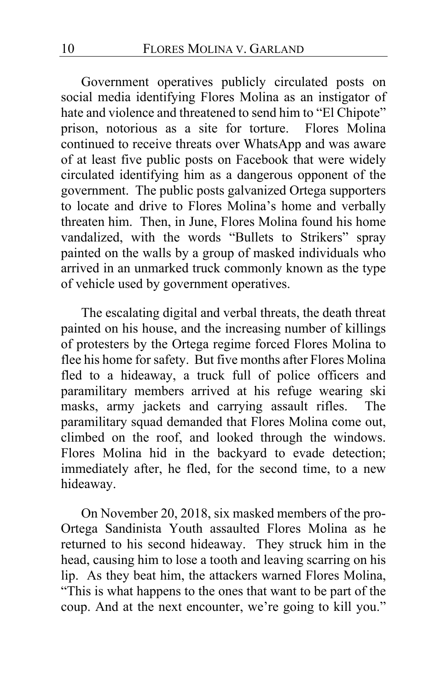Government operatives publicly circulated posts on social media identifying Flores Molina as an instigator of hate and violence and threatened to send him to "El Chipote" prison, notorious as a site for torture. Flores Molina continued to receive threats over WhatsApp and was aware of at least five public posts on Facebook that were widely circulated identifying him as a dangerous opponent of the government. The public posts galvanized Ortega supporters to locate and drive to Flores Molina's home and verbally threaten him. Then, in June, Flores Molina found his home vandalized, with the words "Bullets to Strikers" spray painted on the walls by a group of masked individuals who arrived in an unmarked truck commonly known as the type of vehicle used by government operatives.

The escalating digital and verbal threats, the death threat painted on his house, and the increasing number of killings of protesters by the Ortega regime forced Flores Molina to flee his home for safety. But five months after Flores Molina fled to a hideaway, a truck full of police officers and paramilitary members arrived at his refuge wearing ski masks, army jackets and carrying assault rifles. The paramilitary squad demanded that Flores Molina come out, climbed on the roof, and looked through the windows. Flores Molina hid in the backyard to evade detection; immediately after, he fled, for the second time, to a new hideaway.

On November 20, 2018, six masked members of the pro-Ortega Sandinista Youth assaulted Flores Molina as he returned to his second hideaway. They struck him in the head, causing him to lose a tooth and leaving scarring on his lip. As they beat him, the attackers warned Flores Molina, "This is what happens to the ones that want to be part of the coup. And at the next encounter, we're going to kill you."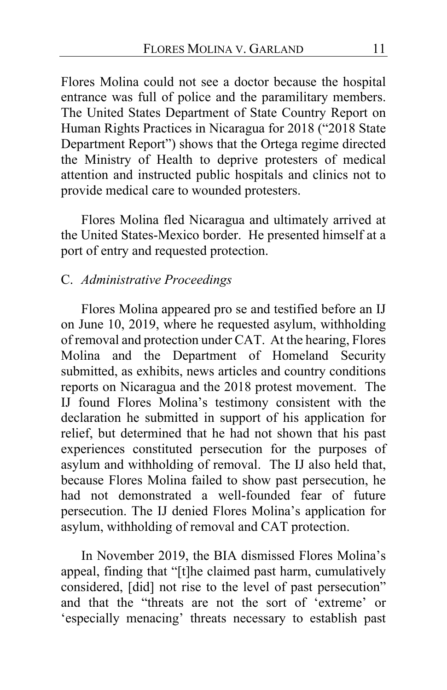Flores Molina could not see a doctor because the hospital entrance was full of police and the paramilitary members. The United States Department of State Country Report on Human Rights Practices in Nicaragua for 2018 ("2018 State Department Report") shows that the Ortega regime directed the Ministry of Health to deprive protesters of medical attention and instructed public hospitals and clinics not to provide medical care to wounded protesters.

Flores Molina fled Nicaragua and ultimately arrived at the United States-Mexico border. He presented himself at a port of entry and requested protection.

### C. *Administrative Proceedings*

Flores Molina appeared pro se and testified before an IJ on June 10, 2019, where he requested asylum, withholding of removal and protection under CAT. At the hearing, Flores Molina and the Department of Homeland Security submitted, as exhibits, news articles and country conditions reports on Nicaragua and the 2018 protest movement. The IJ found Flores Molina's testimony consistent with the declaration he submitted in support of his application for relief, but determined that he had not shown that his past experiences constituted persecution for the purposes of asylum and withholding of removal. The IJ also held that, because Flores Molina failed to show past persecution, he had not demonstrated a well-founded fear of future persecution. The IJ denied Flores Molina's application for asylum, withholding of removal and CAT protection.

In November 2019, the BIA dismissed Flores Molina's appeal, finding that "[t]he claimed past harm, cumulatively considered, [did] not rise to the level of past persecution" and that the "threats are not the sort of 'extreme' or 'especially menacing' threats necessary to establish past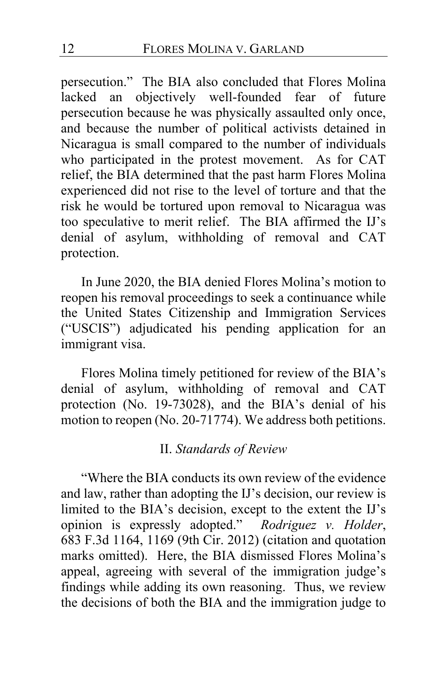persecution." The BIA also concluded that Flores Molina lacked an objectively well-founded fear of future persecution because he was physically assaulted only once, and because the number of political activists detained in Nicaragua is small compared to the number of individuals who participated in the protest movement. As for CAT relief, the BIA determined that the past harm Flores Molina experienced did not rise to the level of torture and that the risk he would be tortured upon removal to Nicaragua was too speculative to merit relief. The BIA affirmed the IJ's denial of asylum, withholding of removal and CAT protection.

In June 2020, the BIA denied Flores Molina's motion to reopen his removal proceedings to seek a continuance while the United States Citizenship and Immigration Services ("USCIS") adjudicated his pending application for an immigrant visa.

Flores Molina timely petitioned for review of the BIA's denial of asylum, withholding of removal and CAT protection (No. 19-73028), and the BIA's denial of his motion to reopen (No. 20-71774). We address both petitions.

## II. *Standards of Review*

"Where the BIA conducts its own review of the evidence and law, rather than adopting the IJ's decision, our review is limited to the BIA's decision, except to the extent the IJ's opinion is expressly adopted." *Rodriguez v. Holder*, 683 F.3d 1164, 1169 (9th Cir. 2012) (citation and quotation marks omitted). Here, the BIA dismissed Flores Molina's appeal, agreeing with several of the immigration judge's findings while adding its own reasoning. Thus, we review the decisions of both the BIA and the immigration judge to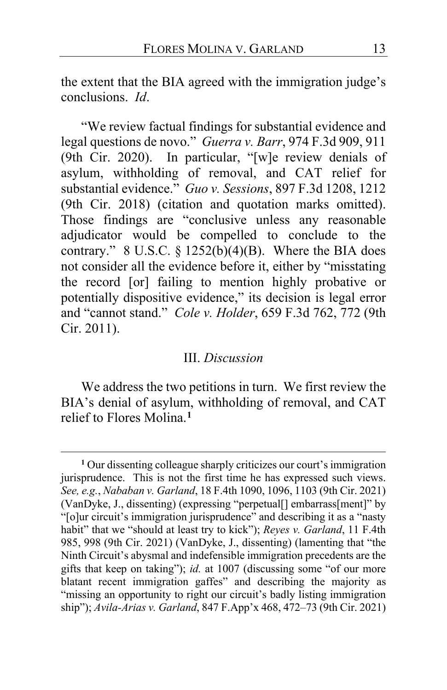the extent that the BIA agreed with the immigration judge's conclusions. *Id*.

"We review factual findings for substantial evidence and legal questions de novo." *Guerra v. Barr*, 974 F.3d 909, 911 (9th Cir. 2020). In particular, "[w]e review denials of asylum, withholding of removal, and CAT relief for substantial evidence." *Guo v. Sessions*, 897 F.3d 1208, 1212 (9th Cir. 2018) (citation and quotation marks omitted). Those findings are "conclusive unless any reasonable adjudicator would be compelled to conclude to the contrary." 8 U.S.C.  $\S 1252(b)(4)(B)$ . Where the BIA does not consider all the evidence before it, either by "misstating the record [or] failing to mention highly probative or potentially dispositive evidence," its decision is legal error and "cannot stand." *Cole v. Holder*, 659 F.3d 762, 772 (9th Cir. 2011).

#### III. *Discussion*

We address the two petitions in turn. We first review the BIA's denial of asylum, withholding of removal, and CAT relief to Flores Molina.**[1](#page-12-0)**

<span id="page-12-0"></span>**<sup>1</sup>** Our dissenting colleague sharply criticizes our court's immigration jurisprudence. This is not the first time he has expressed such views. *See, e.g.*, *Nababan v. Garland*, 18 F.4th 1090, 1096, 1103 (9th Cir. 2021) (VanDyke, J., dissenting) (expressing "perpetual[] embarrass[ment]" by "[o]ur circuit's immigration jurisprudence" and describing it as a "nasty habit" that we "should at least try to kick"); *Reyes v. Garland*, 11 F.4th 985, 998 (9th Cir. 2021) (VanDyke, J., dissenting) (lamenting that "the Ninth Circuit's abysmal and indefensible immigration precedents are the gifts that keep on taking"); *id.* at 1007 (discussing some "of our more blatant recent immigration gaffes" and describing the majority as "missing an opportunity to right our circuit's badly listing immigration ship"); *Avila-Arias v. Garland*, 847 F.App'x 468, 472–73 (9th Cir. 2021)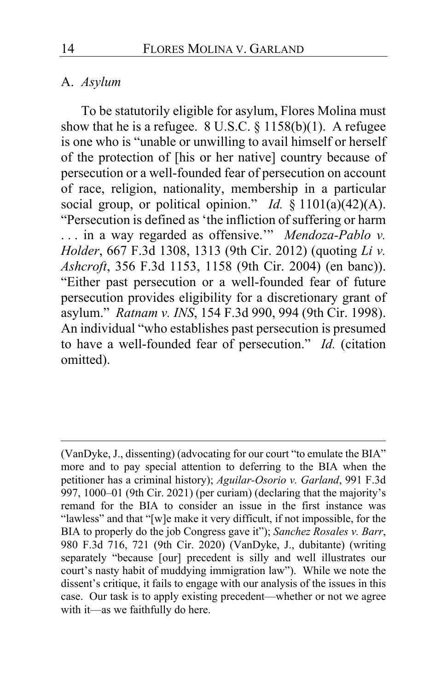#### A. *Asylum*

To be statutorily eligible for asylum, Flores Molina must show that he is a refugee.  $8$  U.S.C.  $§$  1158(b)(1). A refugee is one who is "unable or unwilling to avail himself or herself of the protection of [his or her native] country because of persecution or a well-founded fear of persecution on account of race, religion, nationality, membership in a particular social group, or political opinion." *Id.* § 1101(a)(42)(A). "Persecution is defined as 'the infliction of suffering or harm . . . in a way regarded as offensive.'" *Mendoza-Pablo v. Holder*, 667 F.3d 1308, 1313 (9th Cir. 2012) (quoting *Li v. Ashcroft*, 356 F.3d 1153, 1158 (9th Cir. 2004) (en banc)). "Either past persecution or a well-founded fear of future persecution provides eligibility for a discretionary grant of asylum." *Ratnam v. INS*, 154 F.3d 990, 994 (9th Cir. 1998). An individual "who establishes past persecution is presumed to have a well-founded fear of persecution." *Id.* (citation omitted).

<sup>(</sup>VanDyke, J., dissenting) (advocating for our court "to emulate the BIA" more and to pay special attention to deferring to the BIA when the petitioner has a criminal history); *Aguilar-Osorio v. Garland*, 991 F.3d 997, 1000–01 (9th Cir. 2021) (per curiam) (declaring that the majority's remand for the BIA to consider an issue in the first instance was "lawless" and that "[w]e make it very difficult, if not impossible, for the BIA to properly do the job Congress gave it"); *Sanchez Rosales v. Barr*, 980 F.3d 716, 721 (9th Cir. 2020) (VanDyke, J., dubitante) (writing separately "because [our] precedent is silly and well illustrates our court's nasty habit of muddying immigration law"). While we note the dissent's critique, it fails to engage with our analysis of the issues in this case. Our task is to apply existing precedent—whether or not we agree with it—as we faithfully do here.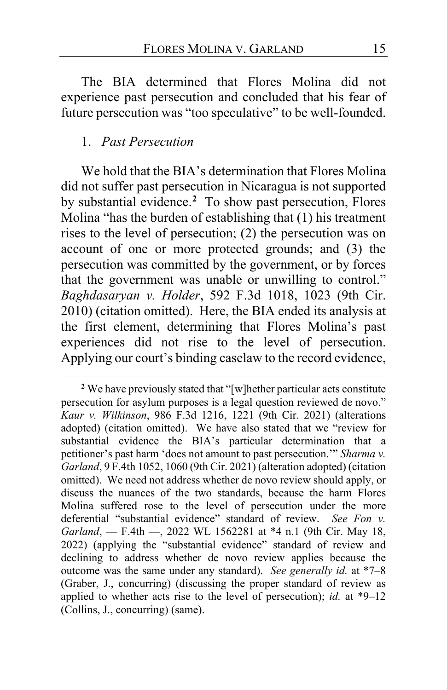The BIA determined that Flores Molina did not experience past persecution and concluded that his fear of future persecution was "too speculative" to be well-founded.

### 1. *Past Persecution*

<span id="page-14-1"></span>We hold that the BIA's determination that Flores Molina did not suffer past persecution in Nicaragua is not supported by substantial evidence.**[2](#page-14-0)** To show past persecution, Flores Molina "has the burden of establishing that (1) his treatment rises to the level of persecution; (2) the persecution was on account of one or more protected grounds; and (3) the persecution was committed by the government, or by forces that the government was unable or unwilling to control." *Baghdasaryan v. Holder*, 592 F.3d 1018, 1023 (9th Cir. 2010) (citation omitted). Here, the BIA ended its analysis at the first element, determining that Flores Molina's past experiences did not rise to the level of persecution. Applying our court's binding caselaw to the record evidence,

<span id="page-14-2"></span><span id="page-14-0"></span>**<sup>2</sup>** We have previously stated that "[w]hether particular acts constitute persecution for asylum purposes is a legal question reviewed de novo." *Kaur v. Wilkinson*, 986 F.3d 1216, 1221 (9th Cir. 2021) (alterations adopted) (citation omitted). We have also stated that we "review for substantial evidence the BIA's particular determination that a petitioner's past harm 'does not amount to past persecution.'" *Sharma v. Garland*, 9 F.4th 1052, 1060 (9th Cir. 2021) (alteration adopted) (citation omitted). We need not address whether de novo review should apply, or discuss the nuances of the two standards, because the harm Flores Molina suffered rose to the level of persecution under the more deferential "substantial evidence" standard of review. *See Fon v. Garland*, — F.4th —, 2022 WL 1562281 at \*4 n.1 (9th Cir. May 18, 2022) (applying the "substantial evidence" standard of review and declining to address whether de novo review applies because the outcome was the same under any standard). *See generally id.* at \*7–8 (Graber, J., concurring) (discussing the proper standard of review as applied to whether acts rise to the level of persecution); *id.* at \*9–12 (Collins, J., concurring) (same).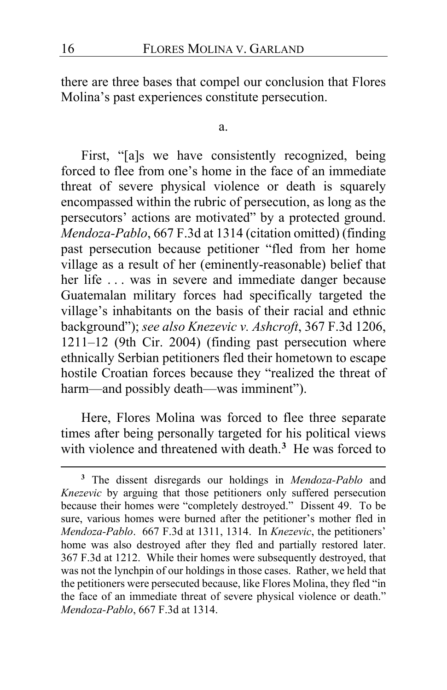there are three bases that compel our conclusion that Flores Molina's past experiences constitute persecution.

a.

First, "[a]s we have consistently recognized, being forced to flee from one's home in the face of an immediate threat of severe physical violence or death is squarely encompassed within the rubric of persecution, as long as the persecutors' actions are motivated" by a protected ground. *Mendoza-Pablo*, 667 F.3d at 1314 (citation omitted) (finding past persecution because petitioner "fled from her home village as a result of her (eminently-reasonable) belief that her life ... was in severe and immediate danger because Guatemalan military forces had specifically targeted the village's inhabitants on the basis of their racial and ethnic background"); *see also Knezevic v. Ashcroft*, 367 F.3d 1206, 1211–12 (9th Cir. 2004) (finding past persecution where ethnically Serbian petitioners fled their hometown to escape hostile Croatian forces because they "realized the threat of harm—and possibly death—was imminent").

Here, Flores Molina was forced to flee three separate times after being personally targeted for his political views with violence and threatened with death.**[3](#page-15-0)** He was forced to

<span id="page-15-0"></span>**<sup>3</sup>** The dissent disregards our holdings in *Mendoza-Pablo* and *Knezevic* by arguing that those petitioners only suffered persecution because their homes were "completely destroyed." Dissent [49.](#page-48-0) To be sure, various homes were burned after the petitioner's mother fled in *Mendoza-Pablo*. 667 F.3d at 1311, 1314. In *Knezevic*, the petitioners' home was also destroyed after they fled and partially restored later. 367 F.3d at 1212. While their homes were subsequently destroyed, that was not the lynchpin of our holdings in those cases. Rather, we held that the petitioners were persecuted because, like Flores Molina, they fled "in the face of an immediate threat of severe physical violence or death." *Mendoza-Pablo*, 667 F.3d at 1314.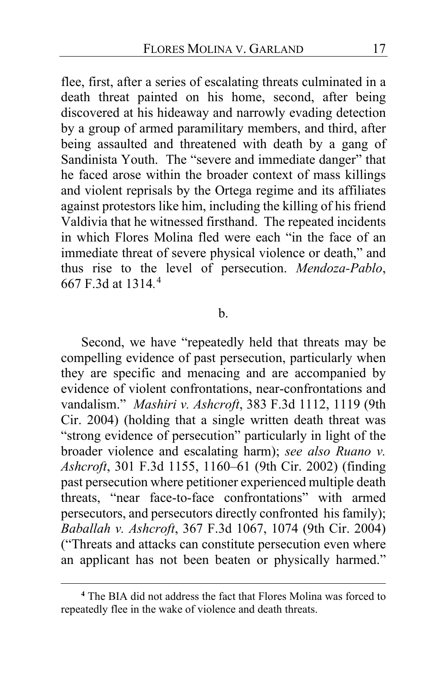flee, first, after a series of escalating threats culminated in a death threat painted on his home, second, after being discovered at his hideaway and narrowly evading detection by a group of armed paramilitary members, and third, after being assaulted and threatened with death by a gang of Sandinista Youth. The "severe and immediate danger" that he faced arose within the broader context of mass killings and violent reprisals by the Ortega regime and its affiliates against protestors like him, including the killing of his friend Valdivia that he witnessed firsthand. The repeated incidents in which Flores Molina fled were each "in the face of an immediate threat of severe physical violence or death," and thus rise to the level of persecution. *Mendoza-Pablo*, 667 F.3d at 1314*.* [4](#page-16-0)

#### $h_{\cdot}$

Second, we have "repeatedly held that threats may be compelling evidence of past persecution, particularly when they are specific and menacing and are accompanied by evidence of violent confrontations, near-confrontations and vandalism." *Mashiri v. Ashcroft*, 383 F.3d 1112, 1119 (9th Cir. 2004) (holding that a single written death threat was "strong evidence of persecution" particularly in light of the broader violence and escalating harm); *see also Ruano v. Ashcroft*, 301 F.3d 1155, 1160–61 (9th Cir. 2002) (finding past persecution where petitioner experienced multiple death threats, "near face-to-face confrontations" with armed persecutors, and persecutors directly confronted his family); *Baballah v. Ashcroft*, 367 F.3d 1067, 1074 (9th Cir. 2004) ("Threats and attacks can constitute persecution even where an applicant has not been beaten or physically harmed."

<span id="page-16-0"></span>**<sup>4</sup>** The BIA did not address the fact that Flores Molina was forced to repeatedly flee in the wake of violence and death threats.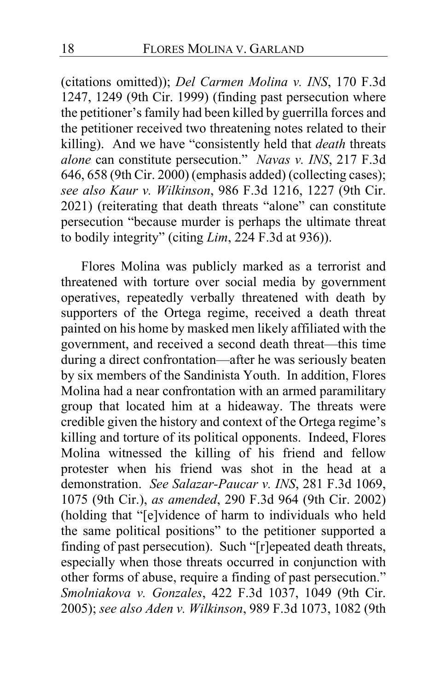(citations omitted)); *Del Carmen Molina v. INS*, 170 F.3d 1247, 1249 (9th Cir. 1999) (finding past persecution where the petitioner's family had been killed by guerrilla forces and the petitioner received two threatening notes related to their killing). And we have "consistently held that *death* threats *alone* can constitute persecution." *Navas v. INS*, 217 F.3d 646, 658 (9th Cir. 2000) (emphasis added) (collecting cases); *see also Kaur v. Wilkinson*, 986 F.3d 1216, 1227 (9th Cir. 2021) (reiterating that death threats "alone" can constitute persecution "because murder is perhaps the ultimate threat to bodily integrity" (citing *Lim*, 224 F.3d at 936)).

Flores Molina was publicly marked as a terrorist and threatened with torture over social media by government operatives, repeatedly verbally threatened with death by supporters of the Ortega regime, received a death threat painted on his home by masked men likely affiliated with the government, and received a second death threat—this time during a direct confrontation—after he was seriously beaten by six members of the Sandinista Youth. In addition, Flores Molina had a near confrontation with an armed paramilitary group that located him at a hideaway. The threats were credible given the history and context of the Ortega regime's killing and torture of its political opponents. Indeed, Flores Molina witnessed the killing of his friend and fellow protester when his friend was shot in the head at a demonstration. *See Salazar-Paucar v. INS*, 281 F.3d 1069, 1075 (9th Cir.), *as amended*, 290 F.3d 964 (9th Cir. 2002) (holding that "[e]vidence of harm to individuals who held the same political positions" to the petitioner supported a finding of past persecution). Such "[r]epeated death threats, especially when those threats occurred in conjunction with other forms of abuse, require a finding of past persecution." *Smolniakova v. Gonzales*, 422 F.3d 1037, 1049 (9th Cir. 2005); *see also Aden v. Wilkinson*, 989 F.3d 1073, 1082 (9th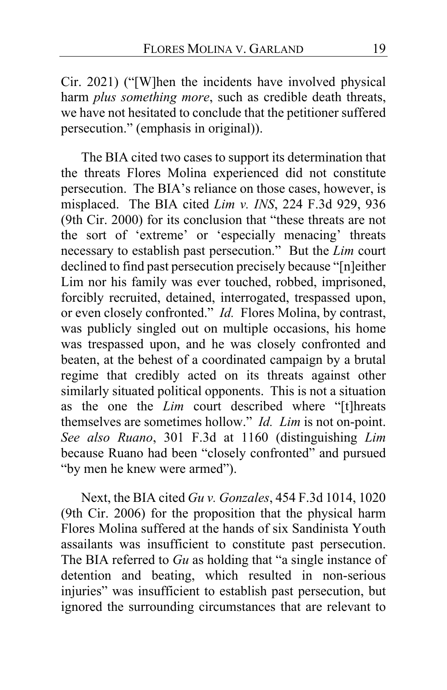Cir. 2021) ("[W]hen the incidents have involved physical harm *plus something more*, such as credible death threats, we have not hesitated to conclude that the petitioner suffered persecution." (emphasis in original)).

The BIA cited two cases to support its determination that the threats Flores Molina experienced did not constitute persecution. The BIA's reliance on those cases, however, is misplaced. The BIA cited *Lim v. INS*, 224 F.3d 929, 936 (9th Cir. 2000) for its conclusion that "these threats are not the sort of 'extreme' or 'especially menacing' threats necessary to establish past persecution." But the *Lim* court declined to find past persecution precisely because "[n]either Lim nor his family was ever touched, robbed, imprisoned, forcibly recruited, detained, interrogated, trespassed upon, or even closely confronted." *Id.* Flores Molina, by contrast, was publicly singled out on multiple occasions, his home was trespassed upon, and he was closely confronted and beaten, at the behest of a coordinated campaign by a brutal regime that credibly acted on its threats against other similarly situated political opponents. This is not a situation as the one the *Lim* court described where "[t]hreats themselves are sometimes hollow." *Id. Lim* is not on-point. *See also Ruano*, 301 F.3d at 1160 (distinguishing *Lim* because Ruano had been "closely confronted" and pursued "by men he knew were armed").

Next, the BIA cited *Gu v. Gonzales*, 454 F.3d 1014, 1020 (9th Cir. 2006) for the proposition that the physical harm Flores Molina suffered at the hands of six Sandinista Youth assailants was insufficient to constitute past persecution. The BIA referred to *Gu* as holding that "a single instance of detention and beating, which resulted in non-serious injuries" was insufficient to establish past persecution, but ignored the surrounding circumstances that are relevant to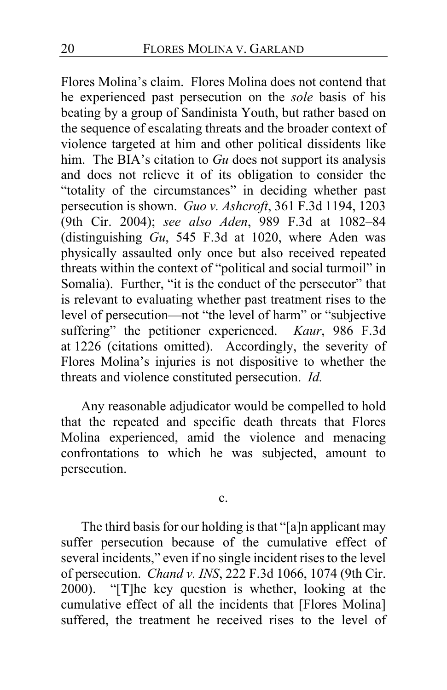Flores Molina's claim. Flores Molina does not contend that he experienced past persecution on the *sole* basis of his beating by a group of Sandinista Youth, but rather based on the sequence of escalating threats and the broader context of violence targeted at him and other political dissidents like him. The BIA's citation to *Gu* does not support its analysis and does not relieve it of its obligation to consider the "totality of the circumstances" in deciding whether past persecution is shown. *Guo v. Ashcroft*, 361 F.3d 1194, 1203 (9th Cir. 2004); *see also Aden*, 989 F.3d at 1082–84 (distinguishing *Gu*, 545 F.3d at 1020, where Aden was physically assaulted only once but also received repeated threats within the context of "political and social turmoil" in Somalia). Further, "it is the conduct of the persecutor" that is relevant to evaluating whether past treatment rises to the level of persecution—not "the level of harm" or "subjective suffering" the petitioner experienced. *Kaur*, 986 F.3d at 1226 (citations omitted). Accordingly, the severity of Flores Molina's injuries is not dispositive to whether the threats and violence constituted persecution. *Id.*

Any reasonable adjudicator would be compelled to hold that the repeated and specific death threats that Flores Molina experienced, amid the violence and menacing confrontations to which he was subjected, amount to persecution.

c.

The third basis for our holding is that "[a]n applicant may suffer persecution because of the cumulative effect of several incidents," even if no single incident rises to the level of persecution. *Chand v. INS*, 222 F.3d 1066, 1074 (9th Cir. 2000). "[T]he key question is whether, looking at the cumulative effect of all the incidents that [Flores Molina] suffered, the treatment he received rises to the level of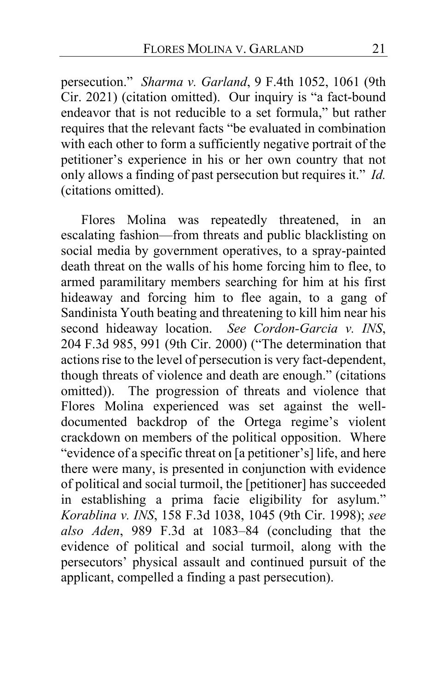persecution." *Sharma v. Garland*, 9 F.4th 1052, 1061 (9th Cir. 2021) (citation omitted). Our inquiry is "a fact-bound endeavor that is not reducible to a set formula," but rather requires that the relevant facts "be evaluated in combination with each other to form a sufficiently negative portrait of the petitioner's experience in his or her own country that not only allows a finding of past persecution but requires it." *Id.* (citations omitted).

Flores Molina was repeatedly threatened, in an escalating fashion—from threats and public blacklisting on social media by government operatives, to a spray-painted death threat on the walls of his home forcing him to flee, to armed paramilitary members searching for him at his first hideaway and forcing him to flee again, to a gang of Sandinista Youth beating and threatening to kill him near his second hideaway location. *See Cordon-Garcia v. INS*, 204 F.3d 985, 991 (9th Cir. 2000) ("The determination that actions rise to the level of persecution is very fact-dependent, though threats of violence and death are enough." (citations omitted)). The progression of threats and violence that Flores Molina experienced was set against the welldocumented backdrop of the Ortega regime's violent crackdown on members of the political opposition. Where "evidence of a specific threat on [a petitioner's] life, and here there were many, is presented in conjunction with evidence of political and social turmoil, the [petitioner] has succeeded in establishing a prima facie eligibility for asylum." *Korablina v. INS*, 158 F.3d 1038, 1045 (9th Cir. 1998); *see also Aden*, 989 F.3d at 1083–84 (concluding that the evidence of political and social turmoil, along with the persecutors' physical assault and continued pursuit of the applicant, compelled a finding a past persecution).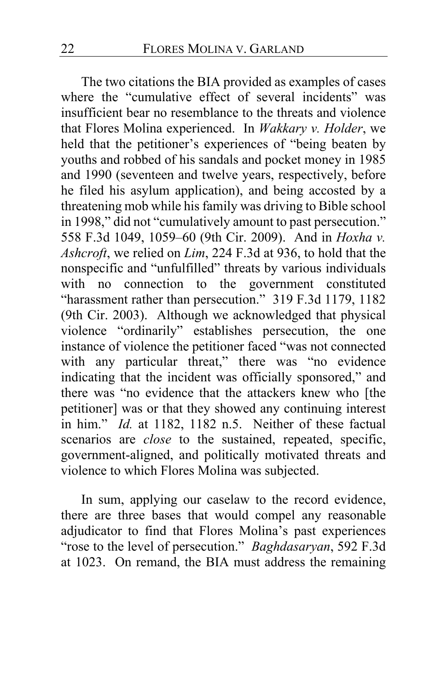The two citations the BIA provided as examples of cases where the "cumulative effect of several incidents" was insufficient bear no resemblance to the threats and violence that Flores Molina experienced. In *Wakkary v. Holder*, we held that the petitioner's experiences of "being beaten by youths and robbed of his sandals and pocket money in 1985 and 1990 (seventeen and twelve years, respectively, before he filed his asylum application), and being accosted by a threatening mob while his family was driving to Bible school in 1998," did not "cumulatively amount to past persecution." 558 F.3d 1049, 1059–60 (9th Cir. 2009). And in *Hoxha v. Ashcroft*, we relied on *Lim*, 224 F.3d at 936, to hold that the nonspecific and "unfulfilled" threats by various individuals with no connection to the government constituted "harassment rather than persecution." 319 F.3d 1179, 1182 (9th Cir. 2003). Although we acknowledged that physical violence "ordinarily" establishes persecution, the one instance of violence the petitioner faced "was not connected with any particular threat," there was "no evidence indicating that the incident was officially sponsored," and there was "no evidence that the attackers knew who [the petitioner] was or that they showed any continuing interest in him." *Id.* at 1182, 1182 n.5. Neither of these factual scenarios are *close* to the sustained, repeated, specific, government-aligned, and politically motivated threats and violence to which Flores Molina was subjected.

In sum, applying our caselaw to the record evidence, there are three bases that would compel any reasonable adjudicator to find that Flores Molina's past experiences "rose to the level of persecution." *Baghdasaryan*, 592 F.3d at 1023. On remand, the BIA must address the remaining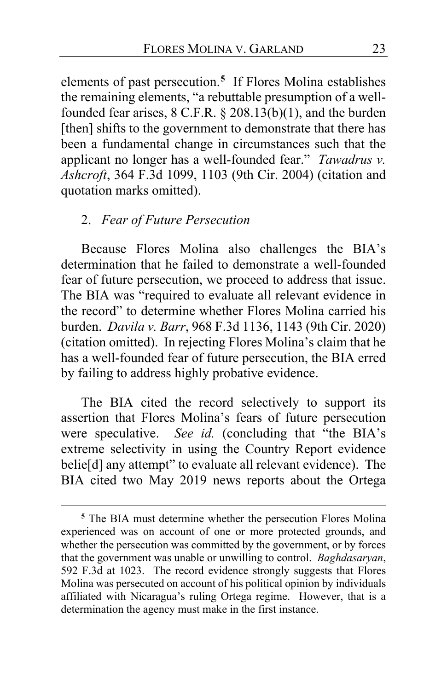elements of past persecution.**[5](#page-22-0)** If Flores Molina establishes the remaining elements, "a rebuttable presumption of a wellfounded fear arises, 8 C.F.R. § 208.13(b)(1), and the burden [then] shifts to the government to demonstrate that there has been a fundamental change in circumstances such that the applicant no longer has a well-founded fear." *Tawadrus v. Ashcroft*, 364 F.3d 1099, 1103 (9th Cir. 2004) (citation and quotation marks omitted).

#### 2. *Fear of Future Persecution*

Because Flores Molina also challenges the BIA's determination that he failed to demonstrate a well-founded fear of future persecution, we proceed to address that issue. The BIA was "required to evaluate all relevant evidence in the record" to determine whether Flores Molina carried his burden. *Davila v. Barr*, 968 F.3d 1136, 1143 (9th Cir. 2020) (citation omitted). In rejecting Flores Molina's claim that he has a well-founded fear of future persecution, the BIA erred by failing to address highly probative evidence.

The BIA cited the record selectively to support its assertion that Flores Molina's fears of future persecution were speculative. *See id.* (concluding that "the BIA's extreme selectivity in using the Country Report evidence belie[d] any attempt" to evaluate all relevant evidence). The BIA cited two May 2019 news reports about the Ortega

<span id="page-22-0"></span>**<sup>5</sup>** The BIA must determine whether the persecution Flores Molina experienced was on account of one or more protected grounds, and whether the persecution was committed by the government, or by forces that the government was unable or unwilling to control. *Baghdasaryan*, 592 F.3d at 1023. The record evidence strongly suggests that Flores Molina was persecuted on account of his political opinion by individuals affiliated with Nicaragua's ruling Ortega regime. However, that is a determination the agency must make in the first instance.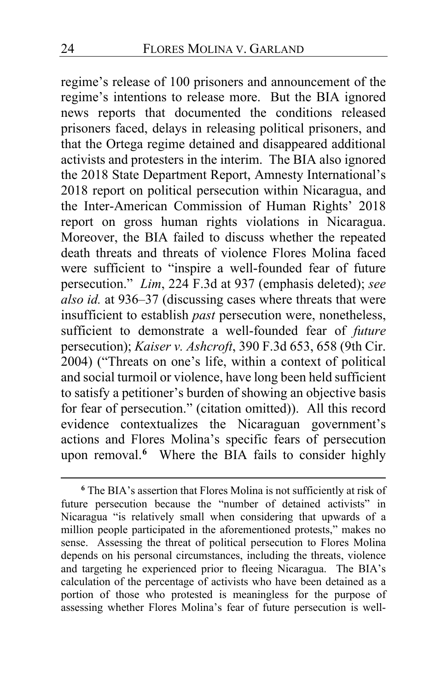regime's release of 100 prisoners and announcement of the regime's intentions to release more. But the BIA ignored news reports that documented the conditions released prisoners faced, delays in releasing political prisoners, and that the Ortega regime detained and disappeared additional activists and protesters in the interim. The BIA also ignored the 2018 State Department Report, Amnesty International's 2018 report on political persecution within Nicaragua, and the Inter-American Commission of Human Rights' 2018 report on gross human rights violations in Nicaragua. Moreover, the BIA failed to discuss whether the repeated death threats and threats of violence Flores Molina faced were sufficient to "inspire a well-founded fear of future persecution." *Lim*, 224 F.3d at 937 (emphasis deleted); *see also id.* at 936–37 (discussing cases where threats that were insufficient to establish *past* persecution were, nonetheless, sufficient to demonstrate a well-founded fear of *future*  persecution); *Kaiser v. Ashcroft*, 390 F.3d 653, 658 (9th Cir. 2004) ("Threats on one's life, within a context of political and social turmoil or violence, have long been held sufficient to satisfy a petitioner's burden of showing an objective basis for fear of persecution." (citation omitted)). All this record evidence contextualizes the Nicaraguan government's actions and Flores Molina's specific fears of persecution upon removal.**[6](#page-23-0)** Where the BIA fails to consider highly

<span id="page-23-0"></span>**<sup>6</sup>** The BIA's assertion that Flores Molina is not sufficiently at risk of future persecution because the "number of detained activists" in Nicaragua "is relatively small when considering that upwards of a million people participated in the aforementioned protests," makes no sense. Assessing the threat of political persecution to Flores Molina depends on his personal circumstances, including the threats, violence and targeting he experienced prior to fleeing Nicaragua. The BIA's calculation of the percentage of activists who have been detained as a portion of those who protested is meaningless for the purpose of assessing whether Flores Molina's fear of future persecution is well-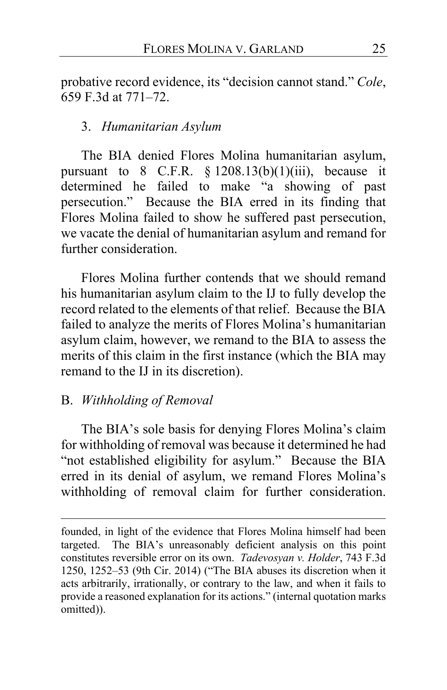probative record evidence, its "decision cannot stand." *Cole*, 659 F.3d at 771–72.

## 3. *Humanitarian Asylum*

The BIA denied Flores Molina humanitarian asylum, pursuant to  $8$  C.F.R.  $\frac{6}{5}$  1208.13(b)(1)(iii), because it determined he failed to make "a showing of past persecution." Because the BIA erred in its finding that Flores Molina failed to show he suffered past persecution, we vacate the denial of humanitarian asylum and remand for further consideration.

Flores Molina further contends that we should remand his humanitarian asylum claim to the IJ to fully develop the record related to the elements of that relief. Because the BIA failed to analyze the merits of Flores Molina's humanitarian asylum claim, however, we remand to the BIA to assess the merits of this claim in the first instance (which the BIA may remand to the IJ in its discretion).

### B. *Withholding of Removal*

The BIA's sole basis for denying Flores Molina's claim for withholding of removal was because it determined he had "not established eligibility for asylum." Because the BIA erred in its denial of asylum, we remand Flores Molina's withholding of removal claim for further consideration.

founded, in light of the evidence that Flores Molina himself had been targeted. The BIA's unreasonably deficient analysis on this point constitutes reversible error on its own. *Tadevosyan v. Holder*, 743 F.3d 1250, 1252–53 (9th Cir. 2014) ("The BIA abuses its discretion when it acts arbitrarily, irrationally, or contrary to the law, and when it fails to provide a reasoned explanation for its actions." (internal quotation marks omitted)).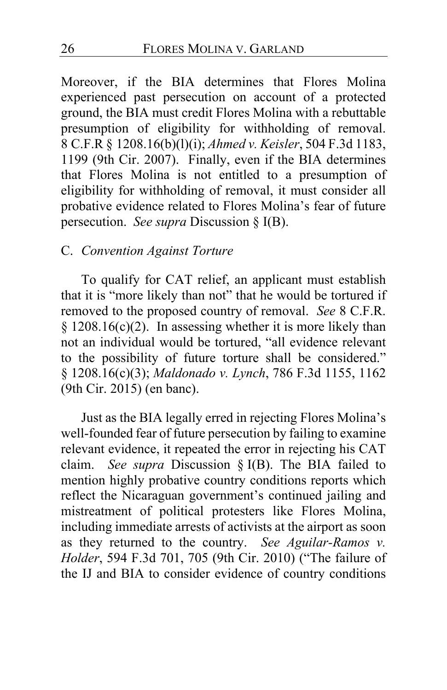Moreover, if the BIA determines that Flores Molina experienced past persecution on account of a protected ground, the BIA must credit Flores Molina with a rebuttable presumption of eligibility for withholding of removal. 8 C.F.R § 1208.16(b)(l)(i); *Ahmed v. Keisler*, 504 F.3d 1183, 1199 (9th Cir. 2007). Finally, even if the BIA determines that Flores Molina is not entitled to a presumption of eligibility for withholding of removal, it must consider all probative evidence related to Flores Molina's fear of future persecution. *See supra* Discussion § I(B).

#### C. *Convention Against Torture*

To qualify for CAT relief, an applicant must establish that it is "more likely than not" that he would be tortured if removed to the proposed country of removal. *See* 8 C.F.R. § 1208.16(c)(2). In assessing whether it is more likely than not an individual would be tortured, "all evidence relevant to the possibility of future torture shall be considered." § 1208.16(c)(3); *Maldonado v. Lynch*, 786 F.3d 1155, 1162 (9th Cir. 2015) (en banc).

Just as the BIA legally erred in rejecting Flores Molina's well-founded fear of future persecution by failing to examine relevant evidence, it repeated the error in rejecting his CAT claim. *See supra* Discussion § I(B). The BIA failed to mention highly probative country conditions reports which reflect the Nicaraguan government's continued jailing and mistreatment of political protesters like Flores Molina, including immediate arrests of activists at the airport as soon as they returned to the country. *See Aguilar-Ramos v. Holder*, 594 F.3d 701, 705 (9th Cir. 2010) ("The failure of the IJ and BIA to consider evidence of country conditions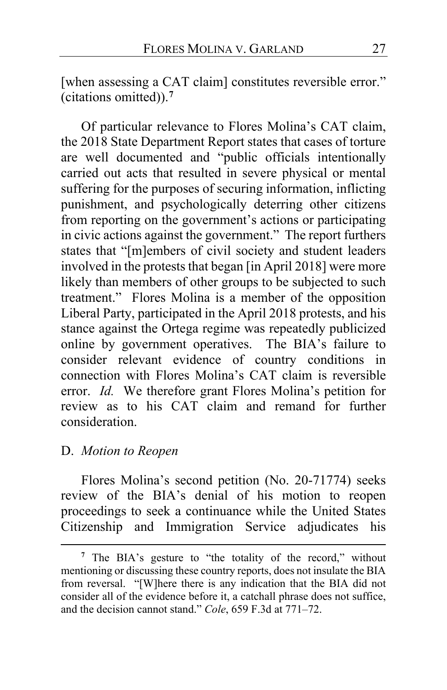[when assessing a CAT claim] constitutes reversible error." (citations omitted)).**[7](#page-26-0)**

Of particular relevance to Flores Molina's CAT claim, the 2018 State Department Report states that cases of torture are well documented and "public officials intentionally carried out acts that resulted in severe physical or mental suffering for the purposes of securing information, inflicting punishment, and psychologically deterring other citizens from reporting on the government's actions or participating in civic actions against the government." The report furthers states that "[m]embers of civil society and student leaders involved in the protests that began [in April 2018] were more likely than members of other groups to be subjected to such treatment." Flores Molina is a member of the opposition Liberal Party, participated in the April 2018 protests, and his stance against the Ortega regime was repeatedly publicized online by government operatives. The BIA's failure to consider relevant evidence of country conditions in connection with Flores Molina's CAT claim is reversible error. *Id.* We therefore grant Flores Molina's petition for review as to his CAT claim and remand for further consideration.

#### D. *Motion to Reopen*

Flores Molina's second petition (No. 20-71774) seeks review of the BIA's denial of his motion to reopen proceedings to seek a continuance while the United States Citizenship and Immigration Service adjudicates his

<span id="page-26-0"></span>**<sup>7</sup>** The BIA's gesture to "the totality of the record," without mentioning or discussing these country reports, does not insulate the BIA from reversal. "[W]here there is any indication that the BIA did not consider all of the evidence before it, a catchall phrase does not suffice, and the decision cannot stand." *Cole*, 659 F.3d at 771–72.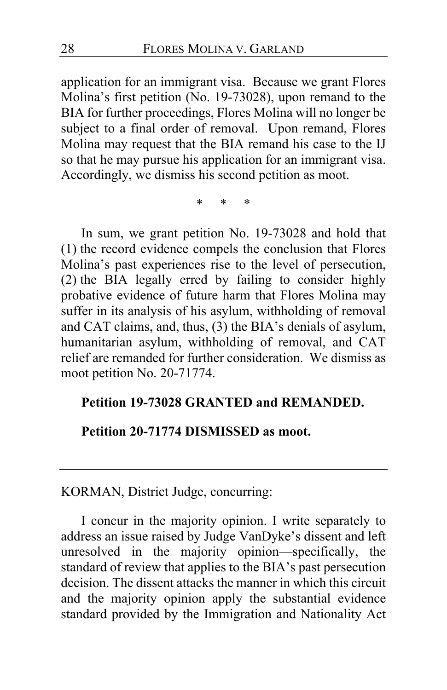application for an immigrant visa. Because we grant Flores Molina's first petition (No. 19-73028), upon remand to the BIA for further proceedings, Flores Molina will no longer be subject to a final order of removal. Upon remand, Flores Molina may request that the BIA remand his case to the IJ so that he may pursue his application for an immigrant visa. Accordingly, we dismiss his second petition as moot.

\* \* \*

In sum, we grant petition No. 19-73028 and hold that (1) the record evidence compels the conclusion that Flores Molina's past experiences rise to the level of persecution, (2) the BIA legally erred by failing to consider highly probative evidence of future harm that Flores Molina may suffer in its analysis of his asylum, withholding of removal and CAT claims, and, thus, (3) the BIA's denials of asylum, humanitarian asylum, withholding of removal, and CAT relief are remanded for further consideration. We dismiss as moot petition No. 20-71774.

#### **Petition 19-73028 GRANTED and REMANDED.**

#### **Petition 20-71774 DISMISSED as moot.**

KORMAN, District Judge, concurring:

I concur in the majority opinion. I write separately to address an issue raised by Judge VanDyke's dissent and left unresolved in the majority opinion—specifically, the standard of review that applies to the BIA's past persecution decision. The dissent attacks the manner in which this circuit and the majority opinion apply the substantial evidence standard provided by the Immigration and Nationality Act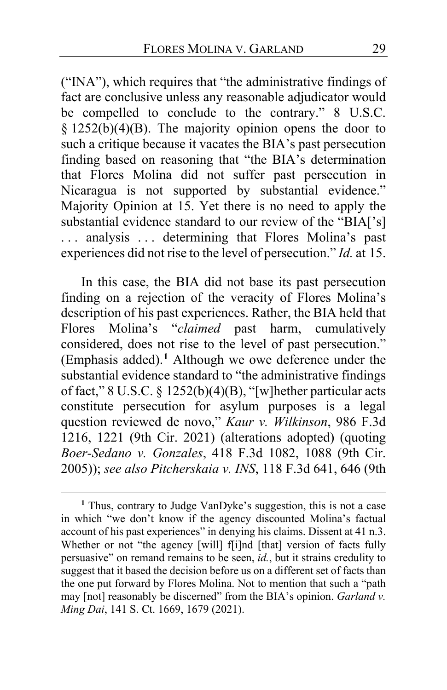("INA"), which requires that "the administrative findings of fact are conclusive unless any reasonable adjudicator would be compelled to conclude to the contrary." 8 U.S.C.  $§$  1252(b)(4)(B). The majority opinion opens the door to such a critique because it vacates the BIA's past persecution finding based on reasoning that "the BIA's determination that Flores Molina did not suffer past persecution in Nicaragua is not supported by substantial evidence." Majority Opinion at [15.](#page-14-1) Yet there is no need to apply the substantial evidence standard to our review of the "BIA['s] . . . analysis . . . determining that Flores Molina's past experiences did not rise to the level of persecution." *Id.* at [15.](#page-14-2)

In this case, the BIA did not base its past persecution finding on a rejection of the veracity of Flores Molina's description of his past experiences. Rather, the BIA held that Flores Molina's "*claimed* past harm, cumulatively considered, does not rise to the level of past persecution." (Emphasis added).**[1](#page-28-0)** Although we owe deference under the substantial evidence standard to "the administrative findings of fact," 8 U.S.C. § 1252(b)(4)(B), "[w]hether particular acts constitute persecution for asylum purposes is a legal question reviewed de novo," *Kaur v. Wilkinson*, 986 F.3d 1216, 1221 (9th Cir. 2021) (alterations adopted) (quoting *Boer-Sedano v. Gonzales*, 418 F.3d 1082, 1088 (9th Cir. 2005)); *see also Pitcherskaia v. INS*, 118 F.3d 641, 646 (9th

<span id="page-28-0"></span>**<sup>1</sup>** Thus, contrary to Judge VanDyke's suggestion, this is not a case in which "we don't know if the agency discounted Molina's factual account of his past experiences" in denying his claims. Dissent at [41](#page-40-0) n.3. Whether or not "the agency [will] f[i]nd [that] version of facts fully persuasive" on remand remains to be seen, *id.*, but it strains credulity to suggest that it based the decision before us on a different set of facts than the one put forward by Flores Molina. Not to mention that such a "path may [not] reasonably be discerned" from the BIA's opinion. *Garland v. Ming Dai*, 141 S. Ct. 1669, 1679 (2021).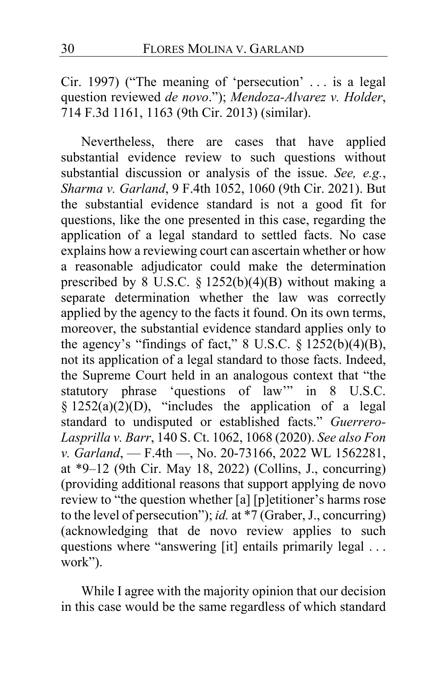Cir. 1997) ("The meaning of 'persecution' . . . is a legal question reviewed *de novo*."); *Mendoza-Alvarez v. Holder*, 714 F.3d 1161, 1163 (9th Cir. 2013) (similar).

Nevertheless, there are cases that have applied substantial evidence review to such questions without substantial discussion or analysis of the issue. *See, e.g.*, *Sharma v. Garland*, 9 F.4th 1052, 1060 (9th Cir. 2021). But the substantial evidence standard is not a good fit for questions, like the one presented in this case, regarding the application of a legal standard to settled facts. No case explains how a reviewing court can ascertain whether or how a reasonable adjudicator could make the determination prescribed by 8 U.S.C. § 1252(b)(4)(B) without making a separate determination whether the law was correctly applied by the agency to the facts it found. On its own terms, moreover, the substantial evidence standard applies only to the agency's "findings of fact,"  $8$  U.S.C.  $\S$  1252(b)(4)(B), not its application of a legal standard to those facts. Indeed, the Supreme Court held in an analogous context that "the statutory phrase 'questions of law'" in 8 U.S.C.  $§ 1252(a)(2)(D)$ , "includes the application of a legal standard to undisputed or established facts." *Guerrero-Lasprilla v. Barr*, 140 S. Ct. 1062, 1068 (2020). *See also Fon v. Garland*, — F.4th —, No. 20-73166, 2022 WL 1562281, at \*9–12 (9th Cir. May 18, 2022) (Collins, J., concurring) (providing additional reasons that support applying de novo review to "the question whether [a] [p]etitioner's harms rose to the level of persecution"); *id.* at \*7 (Graber, J., concurring) (acknowledging that de novo review applies to such questions where "answering [it] entails primarily legal . . . work").

While I agree with the majority opinion that our decision in this case would be the same regardless of which standard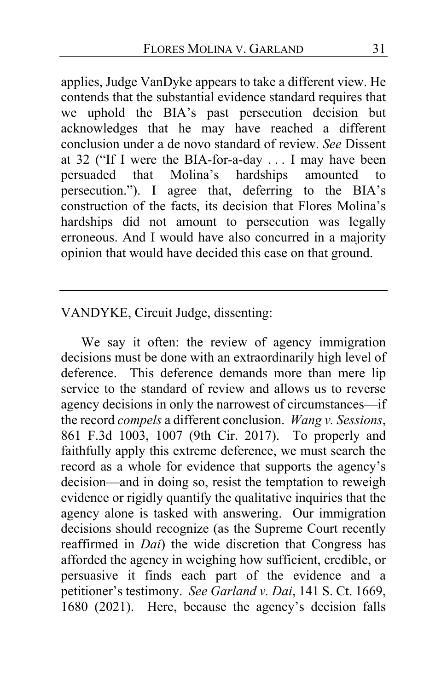applies, Judge VanDyke appears to take a different view. He contends that the substantial evidence standard requires that we uphold the BIA's past persecution decision but acknowledges that he may have reached a different conclusion under a de novo standard of review. *See* Dissent at [32](#page-31-0) ("If I were the BIA-for-a-day . . . I may have been persuaded that Molina's hardships amounted to persecution."). I agree that, deferring to the BIA's construction of the facts, its decision that Flores Molina's hardships did not amount to persecution was legally erroneous. And I would have also concurred in a majority opinion that would have decided this case on that ground.

### VANDYKE, Circuit Judge, dissenting:

We say it often: the review of agency immigration decisions must be done with an extraordinarily high level of deference. This deference demands more than mere lip service to the standard of review and allows us to reverse agency decisions in only the narrowest of circumstances—if the record *compels* a different conclusion. *Wang v. Sessions*, 861 F.3d 1003, 1007 (9th Cir. 2017). To properly and faithfully apply this extreme deference, we must search the record as a whole for evidence that supports the agency's decision—and in doing so, resist the temptation to reweigh evidence or rigidly quantify the qualitative inquiries that the agency alone is tasked with answering. Our immigration decisions should recognize (as the Supreme Court recently reaffirmed in *Dai*) the wide discretion that Congress has afforded the agency in weighing how sufficient, credible, or persuasive it finds each part of the evidence and a petitioner's testimony. *See Garland v. Dai*, 141 S. Ct. 1669, 1680 (2021). Here, because the agency's decision falls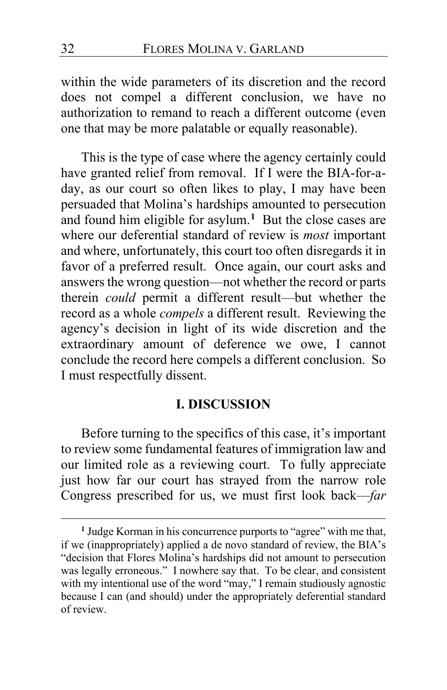within the wide parameters of its discretion and the record does not compel a different conclusion, we have no authorization to remand to reach a different outcome (even one that may be more palatable or equally reasonable).

<span id="page-31-0"></span>This is the type of case where the agency certainly could have granted relief from removal. If I were the BIA-for-aday, as our court so often likes to play, I may have been persuaded that Molina's hardships amounted to persecution and found him eligible for asylum.**[1](#page-31-1)** But the close cases are where our deferential standard of review is *most* important and where, unfortunately, this court too often disregards it in favor of a preferred result. Once again, our court asks and answers the wrong question—not whether the record or parts therein *could* permit a different result—but whether the record as a whole *compels* a different result. Reviewing the agency's decision in light of its wide discretion and the extraordinary amount of deference we owe, I cannot conclude the record here compels a different conclusion. So I must respectfully dissent.

# **I. DISCUSSION**

Before turning to the specifics of this case, it's important to review some fundamental features of immigration law and our limited role as a reviewing court. To fully appreciate just how far our court has strayed from the narrow role Congress prescribed for us, we must first look back—*far*

<span id="page-31-1"></span>**<sup>1</sup>** Judge Korman in his concurrence purports to "agree" with me that, if we (inappropriately) applied a de novo standard of review, the BIA's "decision that Flores Molina's hardships did not amount to persecution was legally erroneous." I nowhere say that. To be clear, and consistent with my intentional use of the word "may," I remain studiously agnostic because I can (and should) under the appropriately deferential standard of review.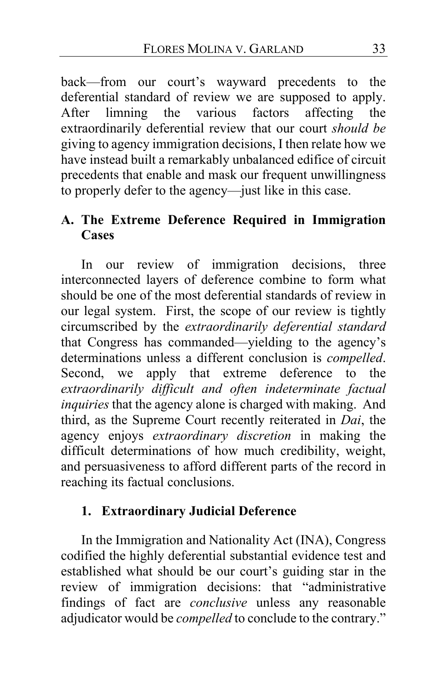back—from our court's wayward precedents to the deferential standard of review we are supposed to apply. After limning the various factors affecting the extraordinarily deferential review that our court *should be* giving to agency immigration decisions, I then relate how we have instead built a remarkably unbalanced edifice of circuit precedents that enable and mask our frequent unwillingness to properly defer to the agency—just like in this case.

# **A. The Extreme Deference Required in Immigration Cases**

In our review of immigration decisions, three interconnected layers of deference combine to form what should be one of the most deferential standards of review in our legal system. First, the scope of our review is tightly circumscribed by the *extraordinarily deferential standard* that Congress has commanded—yielding to the agency's determinations unless a different conclusion is *compelled*. Second, we apply that extreme deference to the *extraordinarily difficult and often indeterminate factual inquiries* that the agency alone is charged with making. And third, as the Supreme Court recently reiterated in *Dai*, the agency enjoys *extraordinary discretion* in making the difficult determinations of how much credibility, weight, and persuasiveness to afford different parts of the record in reaching its factual conclusions.

# **1. Extraordinary Judicial Deference**

In the Immigration and Nationality Act (INA), Congress codified the highly deferential substantial evidence test and established what should be our court's guiding star in the review of immigration decisions: that "administrative findings of fact are *conclusive* unless any reasonable adjudicator would be *compelled* to conclude to the contrary."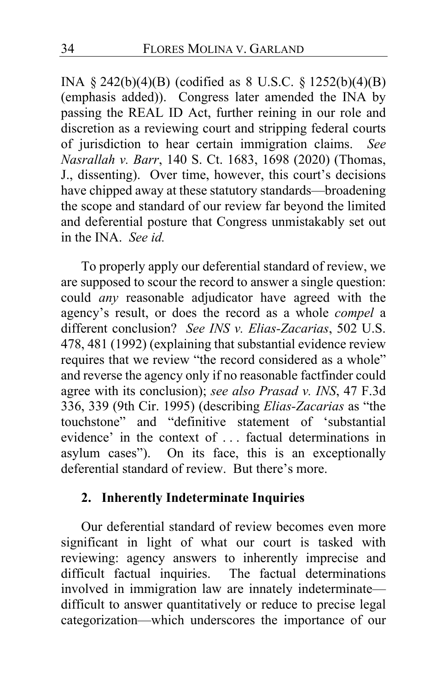INA § 242(b)(4)(B) (codified as 8 U.S.C. § 1252(b)(4)(B) (emphasis added)). Congress later amended the INA by passing the REAL ID Act, further reining in our role and discretion as a reviewing court and stripping federal courts of jurisdiction to hear certain immigration claims. *See Nasrallah v. Barr*, 140 S. Ct. 1683, 1698 (2020) (Thomas, J., dissenting). Over time, however, this court's decisions have chipped away at these statutory standards—broadening the scope and standard of our review far beyond the limited and deferential posture that Congress unmistakably set out in the INA. *See id.*

To properly apply our deferential standard of review, we are supposed to scour the record to answer a single question: could *any* reasonable adjudicator have agreed with the agency's result, or does the record as a whole *compel* a different conclusion? *See INS v. Elias-Zacarias*, 502 U.S. 478, 481 (1992) (explaining that substantial evidence review requires that we review "the record considered as a whole" and reverse the agency only if no reasonable factfinder could agree with its conclusion); *see also Prasad v. INS*, 47 F.3d 336, 339 (9th Cir. 1995) (describing *Elias-Zacarias* as "the touchstone" and "definitive statement of 'substantial evidence' in the context of . . . factual determinations in asylum cases"). On its face, this is an exceptionally deferential standard of review. But there's more.

## **2. Inherently Indeterminate Inquiries**

Our deferential standard of review becomes even more significant in light of what our court is tasked with reviewing: agency answers to inherently imprecise and difficult factual inquiries. The factual determinations The factual determinations. involved in immigration law are innately indeterminate difficult to answer quantitatively or reduce to precise legal categorization—which underscores the importance of our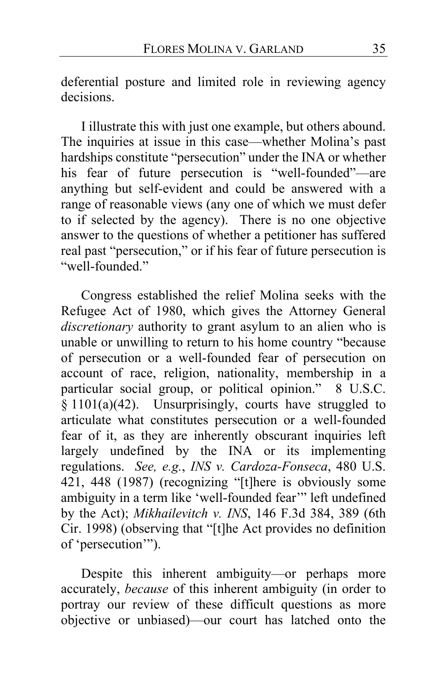deferential posture and limited role in reviewing agency decisions.

I illustrate this with just one example, but others abound. The inquiries at issue in this case—whether Molina's past hardships constitute "persecution" under the INA or whether his fear of future persecution is "well-founded"—are anything but self-evident and could be answered with a range of reasonable views (any one of which we must defer to if selected by the agency). There is no one objective answer to the questions of whether a petitioner has suffered real past "persecution," or if his fear of future persecution is "well-founded"

Congress established the relief Molina seeks with the Refugee Act of 1980, which gives the Attorney General *discretionary* authority to grant asylum to an alien who is unable or unwilling to return to his home country "because of persecution or a well-founded fear of persecution on account of race, religion, nationality, membership in a particular social group, or political opinion." 8 U.S.C.  $\S$  1101(a)(42). Unsurprisingly, courts have struggled to articulate what constitutes persecution or a well-founded fear of it, as they are inherently obscurant inquiries left largely undefined by the INA or its implementing regulations. *See, e.g.*, *INS v. Cardoza-Fonseca*, 480 U.S. 421, 448 (1987) (recognizing "[t]here is obviously some ambiguity in a term like 'well-founded fear'" left undefined by the Act); *Mikhailevitch v. INS*, 146 F.3d 384, 389 (6th Cir. 1998) (observing that "[t]he Act provides no definition of 'persecution'").

Despite this inherent ambiguity—or perhaps more accurately, *because* of this inherent ambiguity (in order to portray our review of these difficult questions as more objective or unbiased)—our court has latched onto the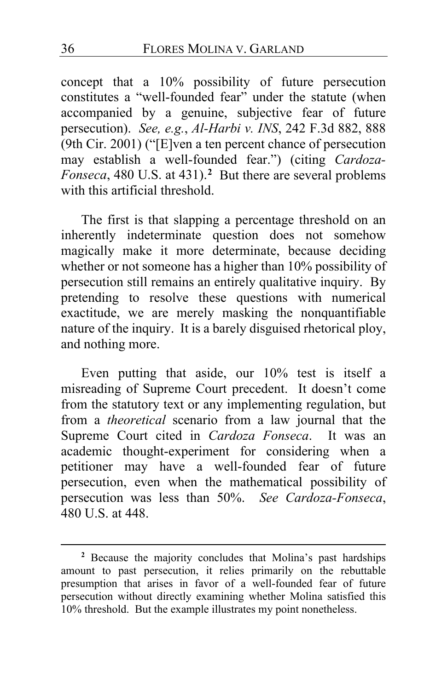concept that a 10% possibility of future persecution constitutes a "well-founded fear" under the statute (when accompanied by a genuine, subjective fear of future persecution). *See, e.g.*, *Al-Harbi v. INS*, 242 F.3d 882, 888 (9th Cir. 2001) ("[E]ven a ten percent chance of persecution may establish a well-founded fear.") (citing *Cardoza-Fonseca*, 480 U.S. at 431).**[2](#page-35-0)** But there are several problems with this artificial threshold.

The first is that slapping a percentage threshold on an inherently indeterminate question does not somehow magically make it more determinate, because deciding whether or not someone has a higher than 10% possibility of persecution still remains an entirely qualitative inquiry. By pretending to resolve these questions with numerical exactitude, we are merely masking the nonquantifiable nature of the inquiry. It is a barely disguised rhetorical ploy, and nothing more.

Even putting that aside, our 10% test is itself a misreading of Supreme Court precedent. It doesn't come from the statutory text or any implementing regulation, but from a *theoretical* scenario from a law journal that the Supreme Court cited in *Cardoza Fonseca*. It was an academic thought-experiment for considering when a petitioner may have a well-founded fear of future persecution, even when the mathematical possibility of persecution was less than 50%. *See Cardoza-Fonseca*, 480 U.S. at 448.

<span id="page-35-0"></span>**<sup>2</sup>** Because the majority concludes that Molina's past hardships amount to past persecution, it relies primarily on the rebuttable presumption that arises in favor of a well-founded fear of future persecution without directly examining whether Molina satisfied this 10% threshold. But the example illustrates my point nonetheless.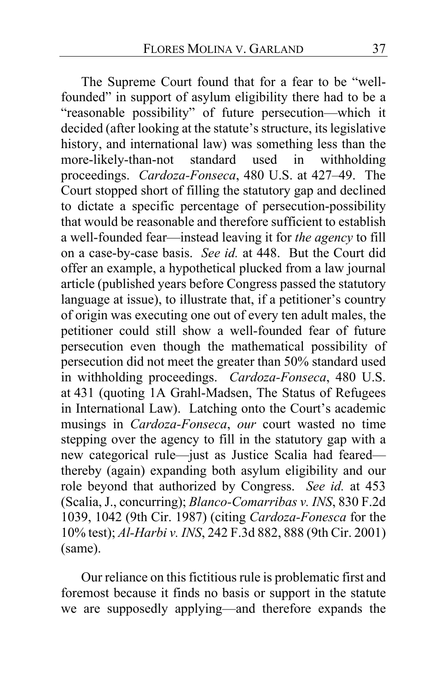The Supreme Court found that for a fear to be "wellfounded" in support of asylum eligibility there had to be a "reasonable possibility" of future persecution—which it decided (after looking at the statute's structure, its legislative history, and international law) was something less than the more-likely-than-not standard used in withholding more-likely-than-not standard used in withholding proceedings. *Cardoza-Fonseca*, 480 U.S. at 427–49. The Court stopped short of filling the statutory gap and declined to dictate a specific percentage of persecution-possibility that would be reasonable and therefore sufficient to establish a well-founded fear—instead leaving it for *the agency* to fill on a case-by-case basis. *See id.* at 448. But the Court did offer an example, a hypothetical plucked from a law journal article (published years before Congress passed the statutory language at issue), to illustrate that, if a petitioner's country of origin was executing one out of every ten adult males, the petitioner could still show a well-founded fear of future persecution even though the mathematical possibility of persecution did not meet the greater than 50% standard used in withholding proceedings. *Cardoza-Fonseca*, 480 U.S. at 431 (quoting 1A Grahl-Madsen, The Status of Refugees in International Law). Latching onto the Court's academic musings in *Cardoza-Fonseca*, *our* court wasted no time stepping over the agency to fill in the statutory gap with a new categorical rule—just as Justice Scalia had feared thereby (again) expanding both asylum eligibility and our role beyond that authorized by Congress. *See id.* at 453 (Scalia, J., concurring); *Blanco-Comarribas v. INS*, 830 F.2d 1039, 1042 (9th Cir. 1987) (citing *Cardoza-Fonesca* for the 10% test); *Al-Harbi v. INS*, 242 F.3d 882, 888 (9th Cir. 2001) (same).

Our reliance on this fictitious rule is problematic first and foremost because it finds no basis or support in the statute we are supposedly applying—and therefore expands the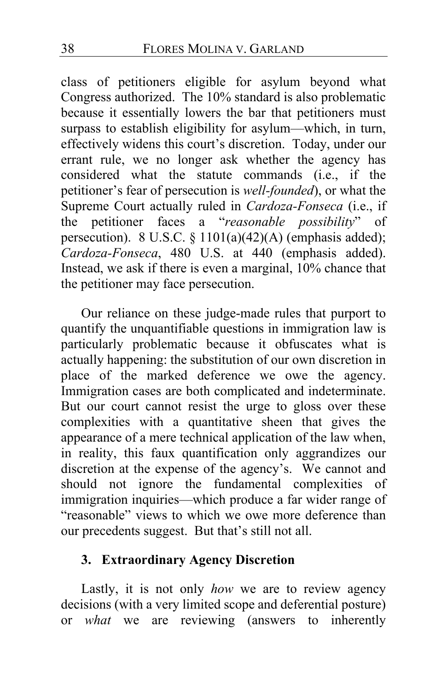class of petitioners eligible for asylum beyond what Congress authorized. The 10% standard is also problematic because it essentially lowers the bar that petitioners must surpass to establish eligibility for asylum—which, in turn, effectively widens this court's discretion. Today, under our errant rule, we no longer ask whether the agency has considered what the statute commands (i.e., if the petitioner's fear of persecution is *well-founded*), or what the Supreme Court actually ruled in *Cardoza-Fonseca* (i.e., if the petitioner faces a "*reasonable possibility*" of persecution). 8 U.S.C. § 1101(a)(42)(A) (emphasis added); *Cardoza-Fonseca*, 480 U.S. at 440 (emphasis added). Instead, we ask if there is even a marginal, 10% chance that the petitioner may face persecution.

Our reliance on these judge-made rules that purport to quantify the unquantifiable questions in immigration law is particularly problematic because it obfuscates what is actually happening: the substitution of our own discretion in place of the marked deference we owe the agency. Immigration cases are both complicated and indeterminate. But our court cannot resist the urge to gloss over these complexities with a quantitative sheen that gives the appearance of a mere technical application of the law when, in reality, this faux quantification only aggrandizes our discretion at the expense of the agency's. We cannot and should not ignore the fundamental complexities of immigration inquiries—which produce a far wider range of "reasonable" views to which we owe more deference than our precedents suggest. But that's still not all.

# **3. Extraordinary Agency Discretion**

Lastly, it is not only *how* we are to review agency decisions (with a very limited scope and deferential posture) or *what* we are reviewing (answers to inherently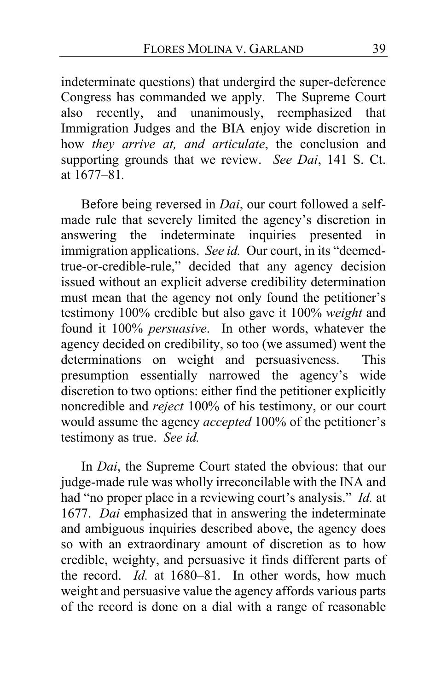indeterminate questions) that undergird the super-deference Congress has commanded we apply. The Supreme Court also recently, and unanimously, reemphasized that Immigration Judges and the BIA enjoy wide discretion in how *they arrive at, and articulate*, the conclusion and supporting grounds that we review. *See Dai*, 141 S. Ct. at 1677–81*.*

Before being reversed in *Dai*, our court followed a selfmade rule that severely limited the agency's discretion in answering the indeterminate inquiries presented in immigration applications. *See id.* Our court, in its "deemedtrue-or-credible-rule," decided that any agency decision issued without an explicit adverse credibility determination must mean that the agency not only found the petitioner's testimony 100% credible but also gave it 100% *weight* and found it 100% *persuasive*. In other words, whatever the agency decided on credibility, so too (we assumed) went the determinations on weight and persuasiveness. This presumption essentially narrowed the agency's wide discretion to two options: either find the petitioner explicitly noncredible and *reject* 100% of his testimony, or our court would assume the agency *accepted* 100% of the petitioner's testimony as true. *See id.*

In *Dai*, the Supreme Court stated the obvious: that our judge-made rule was wholly irreconcilable with the INA and had "no proper place in a reviewing court's analysis." *Id.* at 1677. *Dai* emphasized that in answering the indeterminate and ambiguous inquiries described above, the agency does so with an extraordinary amount of discretion as to how credible, weighty, and persuasive it finds different parts of the record. *Id.* at 1680–81. In other words, how much weight and persuasive value the agency affords various parts of the record is done on a dial with a range of reasonable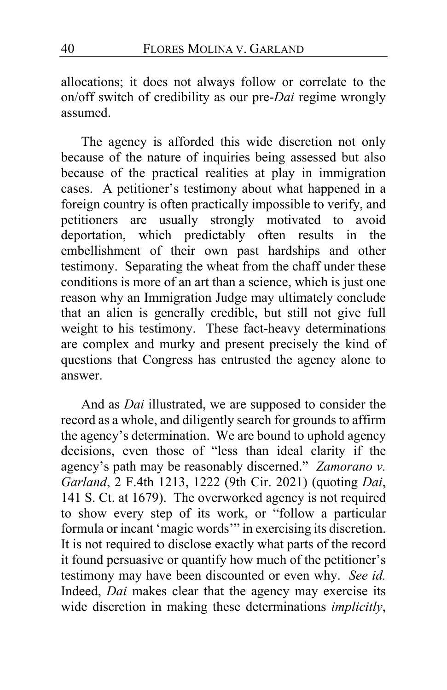allocations; it does not always follow or correlate to the on/off switch of credibility as our pre-*Dai* regime wrongly assumed.

The agency is afforded this wide discretion not only because of the nature of inquiries being assessed but also because of the practical realities at play in immigration cases. A petitioner's testimony about what happened in a foreign country is often practically impossible to verify, and petitioners are usually strongly motivated to avoid deportation, which predictably often results in the embellishment of their own past hardships and other testimony. Separating the wheat from the chaff under these conditions is more of an art than a science, which is just one reason why an Immigration Judge may ultimately conclude that an alien is generally credible, but still not give full weight to his testimony. These fact-heavy determinations are complex and murky and present precisely the kind of questions that Congress has entrusted the agency alone to answer.

And as *Dai* illustrated, we are supposed to consider the record as a whole, and diligently search for grounds to affirm the agency's determination. We are bound to uphold agency decisions, even those of "less than ideal clarity if the agency's path may be reasonably discerned." *Zamorano v. Garland*, 2 F.4th 1213, 1222 (9th Cir. 2021) (quoting *Dai*, 141 S. Ct. at 1679). The overworked agency is not required to show every step of its work, or "follow a particular formula or incant 'magic words'" in exercising its discretion. It is not required to disclose exactly what parts of the record it found persuasive or quantify how much of the petitioner's testimony may have been discounted or even why. *See id.* Indeed, *Dai* makes clear that the agency may exercise its wide discretion in making these determinations *implicitly*,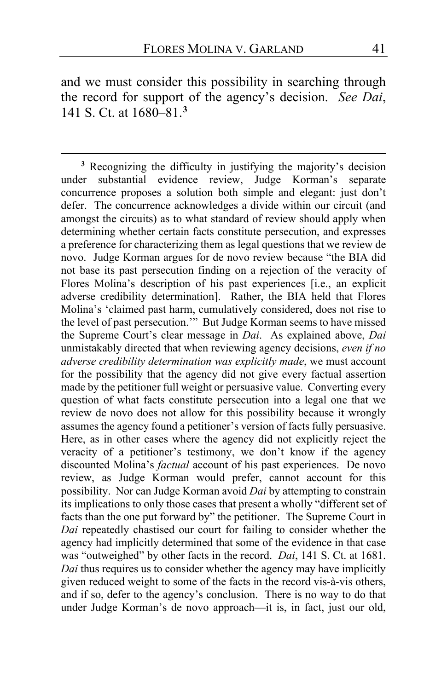and we must consider this possibility in searching through the record for support of the agency's decision. *See Dai*, 141 S. Ct. at 1680–81.**[3](#page-40-1)**

<span id="page-40-1"></span><span id="page-40-0"></span>**<sup>3</sup>** Recognizing the difficulty in justifying the majority's decision under substantial evidence review, Judge Korman's separate concurrence proposes a solution both simple and elegant: just don't defer. The concurrence acknowledges a divide within our circuit (and amongst the circuits) as to what standard of review should apply when determining whether certain facts constitute persecution, and expresses a preference for characterizing them as legal questions that we review de novo. Judge Korman argues for de novo review because "the BIA did not base its past persecution finding on a rejection of the veracity of Flores Molina's description of his past experiences [i.e., an explicit adverse credibility determination]. Rather, the BIA held that Flores Molina's 'claimed past harm, cumulatively considered, does not rise to the level of past persecution.'" But Judge Korman seems to have missed the Supreme Court's clear message in *Dai*. As explained above, *Dai* unmistakably directed that when reviewing agency decisions, *even if no adverse credibility determination was explicitly made*, we must account for the possibility that the agency did not give every factual assertion made by the petitioner full weight or persuasive value. Converting every question of what facts constitute persecution into a legal one that we review de novo does not allow for this possibility because it wrongly assumes the agency found a petitioner's version of facts fully persuasive. Here, as in other cases where the agency did not explicitly reject the veracity of a petitioner's testimony, we don't know if the agency discounted Molina's *factual* account of his past experiences. De novo review, as Judge Korman would prefer, cannot account for this possibility. Nor can Judge Korman avoid *Dai* by attempting to constrain its implications to only those cases that present a wholly "different set of facts than the one put forward by" the petitioner. The Supreme Court in *Dai* repeatedly chastised our court for failing to consider whether the agency had implicitly determined that some of the evidence in that case was "outweighed" by other facts in the record. *Dai*, 141 S. Ct. at 1681. *Dai* thus requires us to consider whether the agency may have implicitly given reduced weight to some of the facts in the record vis-à-vis others, and if so, defer to the agency's conclusion. There is no way to do that under Judge Korman's de novo approach—it is, in fact, just our old,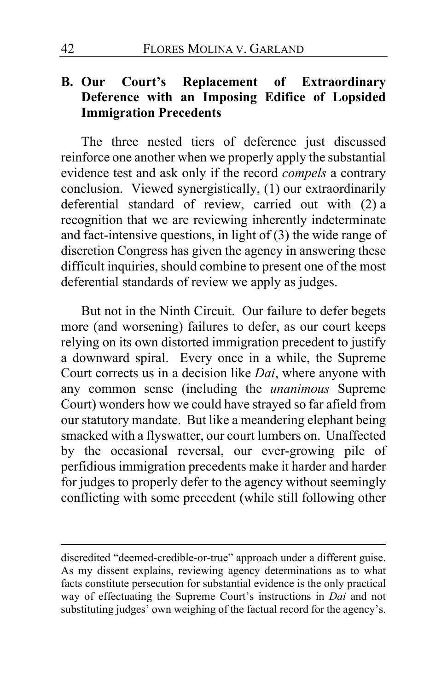# **B. Our Court's Replacement of Extraordinary Deference with an Imposing Edifice of Lopsided Immigration Precedents**

The three nested tiers of deference just discussed reinforce one another when we properly apply the substantial evidence test and ask only if the record *compels* a contrary conclusion. Viewed synergistically, (1) our extraordinarily deferential standard of review, carried out with (2) a recognition that we are reviewing inherently indeterminate and fact-intensive questions, in light of (3) the wide range of discretion Congress has given the agency in answering these difficult inquiries, should combine to present one of the most deferential standards of review we apply as judges.

But not in the Ninth Circuit. Our failure to defer begets more (and worsening) failures to defer, as our court keeps relying on its own distorted immigration precedent to justify a downward spiral. Every once in a while, the Supreme Court corrects us in a decision like *Dai*, where anyone with any common sense (including the *unanimous* Supreme Court) wonders how we could have strayed so far afield from our statutory mandate. But like a meandering elephant being smacked with a flyswatter, our court lumbers on. Unaffected by the occasional reversal, our ever-growing pile of perfidious immigration precedents make it harder and harder for judges to properly defer to the agency without seemingly conflicting with some precedent (while still following other

discredited "deemed-credible-or-true" approach under a different guise. As my dissent explains, reviewing agency determinations as to what facts constitute persecution for substantial evidence is the only practical way of effectuating the Supreme Court's instructions in *Dai* and not substituting judges' own weighing of the factual record for the agency's.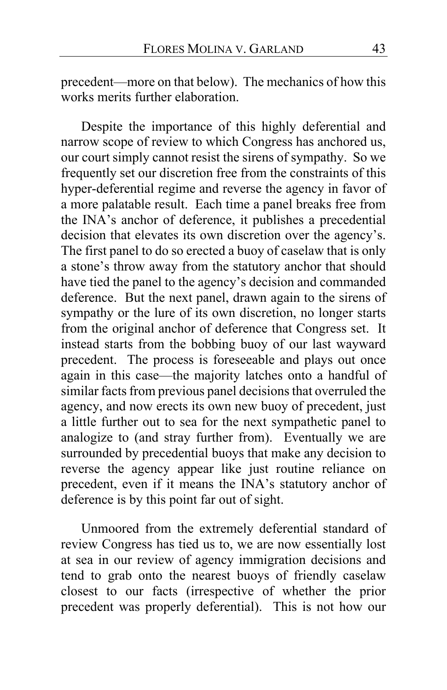precedent—more on that below). The mechanics of how this works merits further elaboration.

Despite the importance of this highly deferential and narrow scope of review to which Congress has anchored us, our court simply cannot resist the sirens of sympathy. So we frequently set our discretion free from the constraints of this hyper-deferential regime and reverse the agency in favor of a more palatable result. Each time a panel breaks free from the INA's anchor of deference, it publishes a precedential decision that elevates its own discretion over the agency's. The first panel to do so erected a buoy of caselaw that is only a stone's throw away from the statutory anchor that should have tied the panel to the agency's decision and commanded deference. But the next panel, drawn again to the sirens of sympathy or the lure of its own discretion, no longer starts from the original anchor of deference that Congress set. It instead starts from the bobbing buoy of our last wayward precedent. The process is foreseeable and plays out once again in this case—the majority latches onto a handful of similar facts from previous panel decisions that overruled the agency, and now erects its own new buoy of precedent, just a little further out to sea for the next sympathetic panel to analogize to (and stray further from). Eventually we are surrounded by precedential buoys that make any decision to reverse the agency appear like just routine reliance on precedent, even if it means the INA's statutory anchor of deference is by this point far out of sight.

Unmoored from the extremely deferential standard of review Congress has tied us to, we are now essentially lost at sea in our review of agency immigration decisions and tend to grab onto the nearest buoys of friendly caselaw closest to our facts (irrespective of whether the prior precedent was properly deferential). This is not how our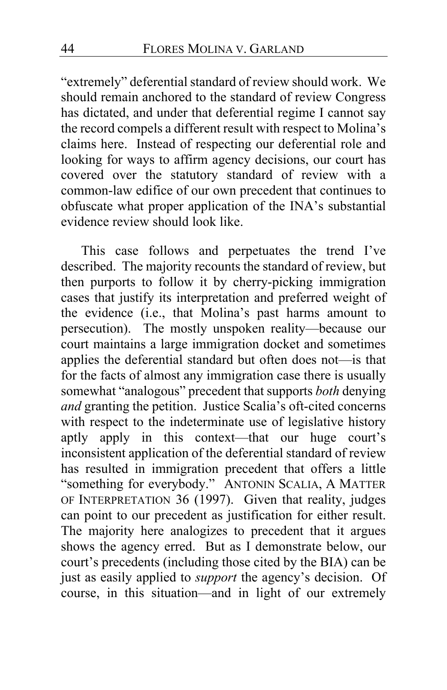"extremely" deferential standard of review should work. We should remain anchored to the standard of review Congress has dictated, and under that deferential regime I cannot say the record compels a different result with respect to Molina's claims here. Instead of respecting our deferential role and looking for ways to affirm agency decisions, our court has covered over the statutory standard of review with a common-law edifice of our own precedent that continues to obfuscate what proper application of the INA's substantial evidence review should look like.

This case follows and perpetuates the trend I've described. The majority recounts the standard of review, but then purports to follow it by cherry-picking immigration cases that justify its interpretation and preferred weight of the evidence (i.e., that Molina's past harms amount to persecution). The mostly unspoken reality—because our court maintains a large immigration docket and sometimes applies the deferential standard but often does not—is that for the facts of almost any immigration case there is usually somewhat "analogous" precedent that supports *both* denying *and* granting the petition. Justice Scalia's oft-cited concerns with respect to the indeterminate use of legislative history aptly apply in this context—that our huge court's inconsistent application of the deferential standard of review has resulted in immigration precedent that offers a little "something for everybody." ANTONIN SCALIA, A MATTER OF INTERPRETATION 36 (1997). Given that reality, judges can point to our precedent as justification for either result. The majority here analogizes to precedent that it argues shows the agency erred. But as I demonstrate below, our court's precedents (including those cited by the BIA) can be just as easily applied to *support* the agency's decision. Of course, in this situation—and in light of our extremely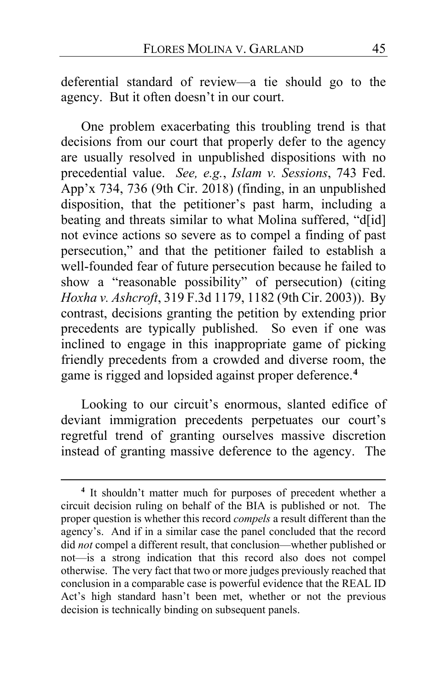deferential standard of review—a tie should go to the agency. But it often doesn't in our court.

One problem exacerbating this troubling trend is that decisions from our court that properly defer to the agency are usually resolved in unpublished dispositions with no precedential value. *See, e.g.*, *Islam v. Sessions*, 743 Fed. App'x 734, 736 (9th Cir. 2018) (finding, in an unpublished disposition, that the petitioner's past harm, including a beating and threats similar to what Molina suffered, "d[id] not evince actions so severe as to compel a finding of past persecution," and that the petitioner failed to establish a well-founded fear of future persecution because he failed to show a "reasonable possibility" of persecution) (citing *Hoxha v. Ashcroft*, 319 F.3d 1179, 1182 (9th Cir. 2003)). By contrast, decisions granting the petition by extending prior precedents are typically published. So even if one was inclined to engage in this inappropriate game of picking friendly precedents from a crowded and diverse room, the game is rigged and lopsided against proper deference.**[4](#page-44-0)**

Looking to our circuit's enormous, slanted edifice of deviant immigration precedents perpetuates our court's regretful trend of granting ourselves massive discretion instead of granting massive deference to the agency. The

<span id="page-44-0"></span>**<sup>4</sup>** It shouldn't matter much for purposes of precedent whether a circuit decision ruling on behalf of the BIA is published or not. The proper question is whether this record *compels* a result different than the agency's. And if in a similar case the panel concluded that the record did *not* compel a different result, that conclusion—whether published or not—is a strong indication that this record also does not compel otherwise. The very fact that two or more judges previously reached that conclusion in a comparable case is powerful evidence that the REAL ID Act's high standard hasn't been met, whether or not the previous decision is technically binding on subsequent panels.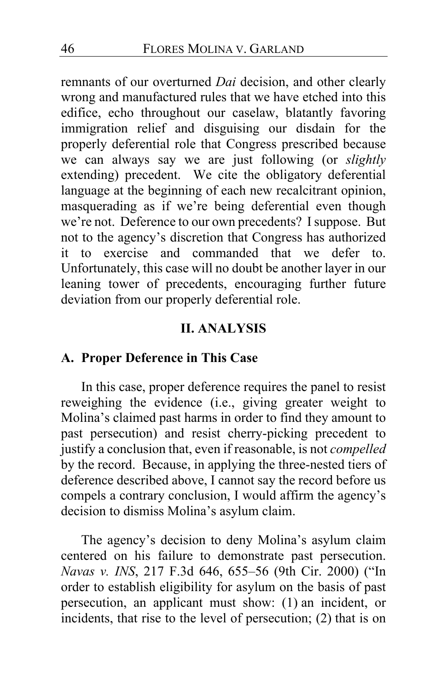remnants of our overturned *Dai* decision, and other clearly wrong and manufactured rules that we have etched into this edifice, echo throughout our caselaw, blatantly favoring immigration relief and disguising our disdain for the properly deferential role that Congress prescribed because we can always say we are just following (or *slightly* extending) precedent. We cite the obligatory deferential language at the beginning of each new recalcitrant opinion, masquerading as if we're being deferential even though we're not. Deference to our own precedents? I suppose. But not to the agency's discretion that Congress has authorized it to exercise and commanded that we defer to. Unfortunately, this case will no doubt be another layer in our leaning tower of precedents, encouraging further future deviation from our properly deferential role.

### **II. ANALYSIS**

#### **A. Proper Deference in This Case**

In this case, proper deference requires the panel to resist reweighing the evidence (i.e., giving greater weight to Molina's claimed past harms in order to find they amount to past persecution) and resist cherry-picking precedent to justify a conclusion that, even if reasonable, is not *compelled* by the record. Because, in applying the three-nested tiers of deference described above, I cannot say the record before us compels a contrary conclusion, I would affirm the agency's decision to dismiss Molina's asylum claim.

The agency's decision to deny Molina's asylum claim centered on his failure to demonstrate past persecution. *Navas v. INS*, 217 F.3d 646, 655–56 (9th Cir. 2000) ("In order to establish eligibility for asylum on the basis of past persecution, an applicant must show: (1) an incident, or incidents, that rise to the level of persecution; (2) that is on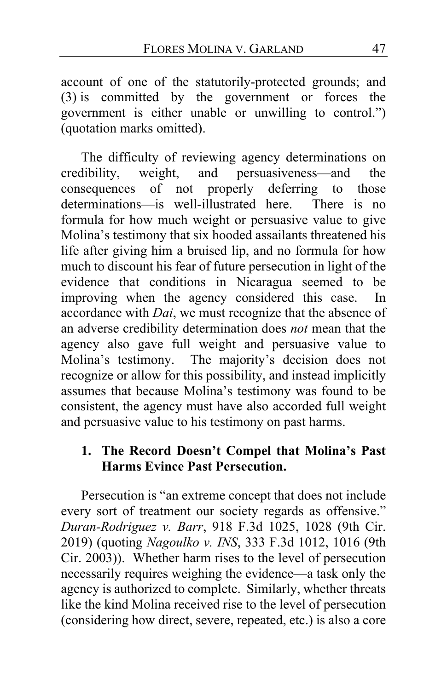account of one of the statutorily-protected grounds; and (3) is committed by the government or forces the government is either unable or unwilling to control.") (quotation marks omitted).

The difficulty of reviewing agency determinations on credibility, weight, and persuasiveness—and the consequences of not properly deferring to those determinations—is well-illustrated here. There is no formula for how much weight or persuasive value to give Molina's testimony that six hooded assailants threatened his life after giving him a bruised lip, and no formula for how much to discount his fear of future persecution in light of the evidence that conditions in Nicaragua seemed to be improving when the agency considered this case. In accordance with *Dai*, we must recognize that the absence of an adverse credibility determination does *not* mean that the agency also gave full weight and persuasive value to Molina's testimony. The majority's decision does not recognize or allow for this possibility, and instead implicitly assumes that because Molina's testimony was found to be consistent, the agency must have also accorded full weight and persuasive value to his testimony on past harms.

# **1. The Record Doesn't Compel that Molina's Past Harms Evince Past Persecution.**

Persecution is "an extreme concept that does not include every sort of treatment our society regards as offensive." *Duran-Rodriguez v. Barr*, 918 F.3d 1025, 1028 (9th Cir. 2019) (quoting *Nagoulko v. INS*, 333 F.3d 1012, 1016 (9th Cir. 2003)). Whether harm rises to the level of persecution necessarily requires weighing the evidence—a task only the agency is authorized to complete. Similarly, whether threats like the kind Molina received rise to the level of persecution (considering how direct, severe, repeated, etc.) is also a core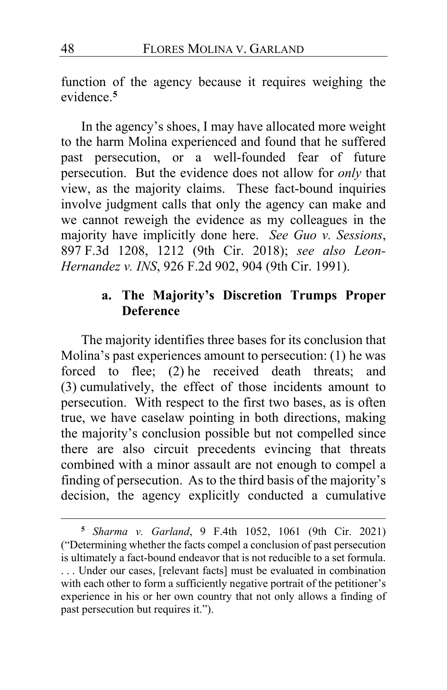function of the agency because it requires weighing the evidence.**[5](#page-47-0)**

In the agency's shoes, I may have allocated more weight to the harm Molina experienced and found that he suffered past persecution, or a well-founded fear of future persecution. But the evidence does not allow for *only* that view, as the majority claims. These fact-bound inquiries involve judgment calls that only the agency can make and we cannot reweigh the evidence as my colleagues in the majority have implicitly done here. *See Guo v. Sessions*, 897 F.3d 1208, 1212 (9th Cir. 2018); *see also Leon-Hernandez v. INS*, 926 F.2d 902, 904 (9th Cir. 1991).

# **a. The Majority's Discretion Trumps Proper Deference**

The majority identifies three bases for its conclusion that Molina's past experiences amount to persecution: (1) he was forced to flee; (2) he received death threats; and (3) cumulatively, the effect of those incidents amount to persecution. With respect to the first two bases, as is often true, we have caselaw pointing in both directions, making the majority's conclusion possible but not compelled since there are also circuit precedents evincing that threats combined with a minor assault are not enough to compel a finding of persecution. As to the third basis of the majority's decision, the agency explicitly conducted a cumulative

<span id="page-47-0"></span>**<sup>5</sup>** *Sharma v. Garland*, 9 F.4th 1052, 1061 (9th Cir. 2021) ("Determining whether the facts compel a conclusion of past persecution is ultimately a fact-bound endeavor that is not reducible to a set formula. . . . Under our cases, [relevant facts] must be evaluated in combination with each other to form a sufficiently negative portrait of the petitioner's experience in his or her own country that not only allows a finding of past persecution but requires it.").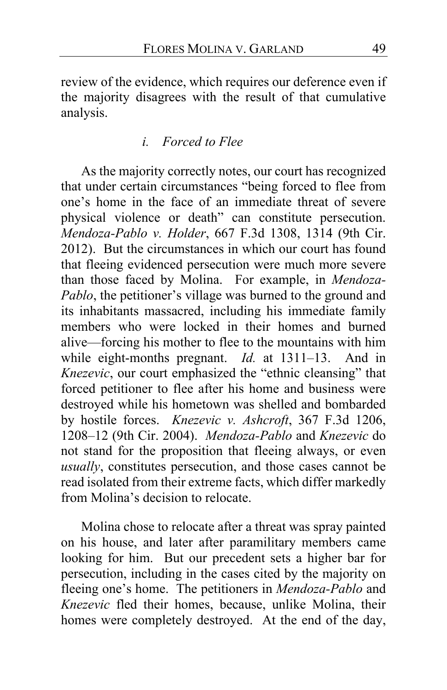review of the evidence, which requires our deference even if the majority disagrees with the result of that cumulative analysis.

# *i. Forced to Flee*

As the majority correctly notes, our court has recognized that under certain circumstances "being forced to flee from one's home in the face of an immediate threat of severe physical violence or death" can constitute persecution. *Mendoza-Pablo v. Holder*, 667 F.3d 1308, 1314 (9th Cir. 2012). But the circumstances in which our court has found that fleeing evidenced persecution were much more severe than those faced by Molina. For example, in *Mendoza-Pablo*, the petitioner's village was burned to the ground and its inhabitants massacred, including his immediate family members who were locked in their homes and burned alive—forcing his mother to flee to the mountains with him while eight-months pregnant. *Id.* at 1311–13. And in *Knezevic*, our court emphasized the "ethnic cleansing" that forced petitioner to flee after his home and business were destroyed while his hometown was shelled and bombarded by hostile forces. *Knezevic v. Ashcroft*, 367 F.3d 1206, 1208–12 (9th Cir. 2004). *Mendoza-Pablo* and *Knezevic* do not stand for the proposition that fleeing always, or even *usually*, constitutes persecution, and those cases cannot be read isolated from their extreme facts, which differ markedly from Molina's decision to relocate.

<span id="page-48-0"></span>Molina chose to relocate after a threat was spray painted on his house, and later after paramilitary members came looking for him. But our precedent sets a higher bar for persecution, including in the cases cited by the majority on fleeing one's home. The petitioners in *Mendoza-Pablo* and *Knezevic* fled their homes, because, unlike Molina, their homes were completely destroyed. At the end of the day,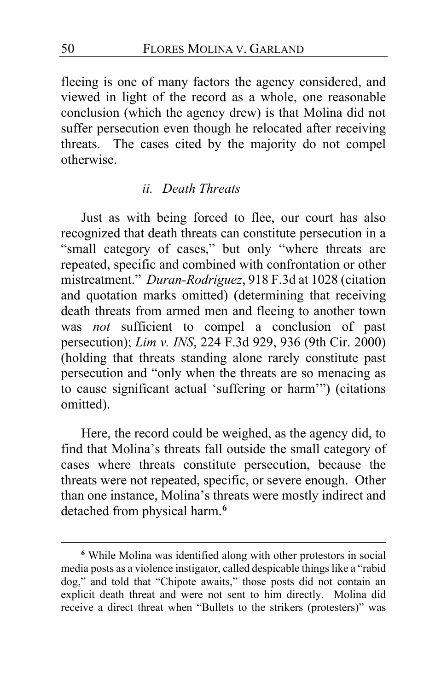fleeing is one of many factors the agency considered, and viewed in light of the record as a whole, one reasonable conclusion (which the agency drew) is that Molina did not suffer persecution even though he relocated after receiving threats. The cases cited by the majority do not compel otherwise.

### *ii. Death Threats*

Just as with being forced to flee, our court has also recognized that death threats can constitute persecution in a "small category of cases," but only "where threats are repeated, specific and combined with confrontation or other mistreatment." *Duran-Rodriguez*, 918 F.3d at 1028 (citation and quotation marks omitted) (determining that receiving death threats from armed men and fleeing to another town was *not* sufficient to compel a conclusion of past persecution); *Lim v. INS*, 224 F.3d 929, 936 (9th Cir. 2000) (holding that threats standing alone rarely constitute past persecution and "only when the threats are so menacing as to cause significant actual 'suffering or harm'") (citations omitted).

Here, the record could be weighed, as the agency did, to find that Molina's threats fall outside the small category of cases where threats constitute persecution, because the threats were not repeated, specific, or severe enough. Other than one instance, Molina's threats were mostly indirect and detached from physical harm.**[6](#page-49-0)**

<span id="page-49-0"></span>**<sup>6</sup>** While Molina was identified along with other protestors in social media posts as a violence instigator, called despicable things like a "rabid dog," and told that "Chipote awaits," those posts did not contain an explicit death threat and were not sent to him directly. Molina did receive a direct threat when "Bullets to the strikers (protesters)" was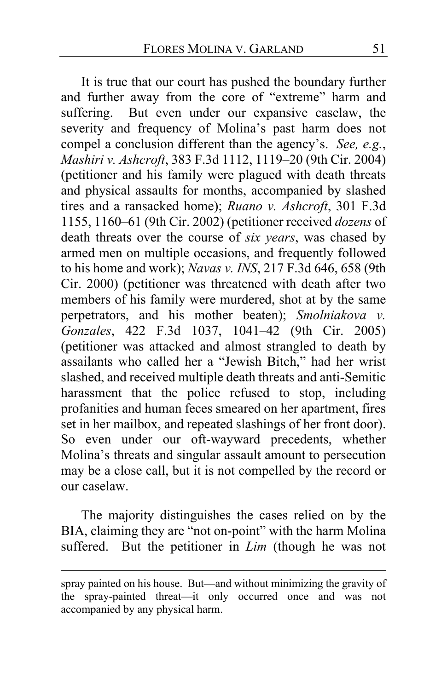It is true that our court has pushed the boundary further and further away from the core of "extreme" harm and suffering. But even under our expansive caselaw, the severity and frequency of Molina's past harm does not compel a conclusion different than the agency's. *See, e.g.*, *Mashiri v. Ashcroft*, 383 F.3d 1112, 1119–20 (9th Cir. 2004) (petitioner and his family were plagued with death threats and physical assaults for months, accompanied by slashed tires and a ransacked home); *Ruano v. Ashcroft*, 301 F.3d 1155, 1160–61 (9th Cir. 2002) (petitioner received *dozens* of death threats over the course of *six years*, was chased by armed men on multiple occasions, and frequently followed to his home and work); *Navas v. INS*, 217 F.3d 646, 658 (9th Cir. 2000) (petitioner was threatened with death after two members of his family were murdered, shot at by the same perpetrators, and his mother beaten); *Smolniakova v. Gonzales*, 422 F.3d 1037, 1041–42 (9th Cir. 2005) (petitioner was attacked and almost strangled to death by assailants who called her a "Jewish Bitch," had her wrist slashed, and received multiple death threats and anti-Semitic harassment that the police refused to stop, including profanities and human feces smeared on her apartment, fires set in her mailbox, and repeated slashings of her front door). So even under our oft-wayward precedents, whether Molina's threats and singular assault amount to persecution may be a close call, but it is not compelled by the record or our caselaw.

The majority distinguishes the cases relied on by the BIA, claiming they are "not on-point" with the harm Molina suffered. But the petitioner in *Lim* (though he was not

spray painted on his house. But—and without minimizing the gravity of the spray-painted threat—it only occurred once and was not accompanied by any physical harm.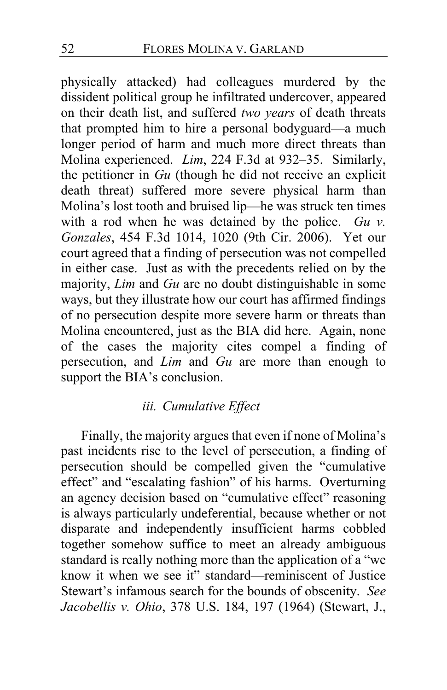physically attacked) had colleagues murdered by the dissident political group he infiltrated undercover, appeared on their death list, and suffered *two years* of death threats that prompted him to hire a personal bodyguard—a much longer period of harm and much more direct threats than Molina experienced. *Lim*, 224 F.3d at 932–35. Similarly, the petitioner in *Gu* (though he did not receive an explicit death threat) suffered more severe physical harm than Molina's lost tooth and bruised lip—he was struck ten times with a rod when he was detained by the police. *Gu v. Gonzales*, 454 F.3d 1014, 1020 (9th Cir. 2006). Yet our court agreed that a finding of persecution was not compelled in either case. Just as with the precedents relied on by the majority, *Lim* and *Gu* are no doubt distinguishable in some ways, but they illustrate how our court has affirmed findings of no persecution despite more severe harm or threats than Molina encountered, just as the BIA did here. Again, none of the cases the majority cites compel a finding of persecution, and *Lim* and *Gu* are more than enough to support the BIA's conclusion.

# *iii. Cumulative Effect*

Finally, the majority argues that even if none of Molina's past incidents rise to the level of persecution, a finding of persecution should be compelled given the "cumulative effect" and "escalating fashion" of his harms. Overturning an agency decision based on "cumulative effect" reasoning is always particularly undeferential, because whether or not disparate and independently insufficient harms cobbled together somehow suffice to meet an already ambiguous standard is really nothing more than the application of a "we know it when we see it" standard—reminiscent of Justice Stewart's infamous search for the bounds of obscenity. *See Jacobellis v. Ohio*, 378 U.S. 184, 197 (1964) (Stewart, J.,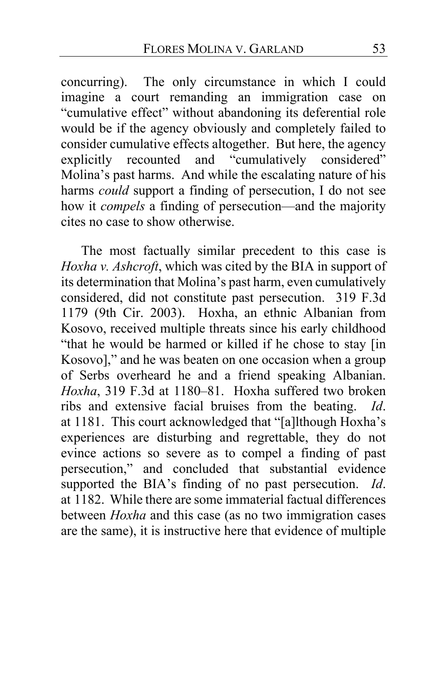concurring). The only circumstance in which I could imagine a court remanding an immigration case on "cumulative effect" without abandoning its deferential role would be if the agency obviously and completely failed to consider cumulative effects altogether. But here, the agency explicitly recounted and "cumulatively considered" Molina's past harms. And while the escalating nature of his harms *could* support a finding of persecution, I do not see how it *compels* a finding of persecution—and the majority cites no case to show otherwise.

The most factually similar precedent to this case is *Hoxha v. Ashcroft*, which was cited by the BIA in support of its determination that Molina's past harm, even cumulatively considered, did not constitute past persecution. 319 F.3d 1179 (9th Cir. 2003). Hoxha, an ethnic Albanian from Kosovo, received multiple threats since his early childhood "that he would be harmed or killed if he chose to stay [in Kosovo]," and he was beaten on one occasion when a group of Serbs overheard he and a friend speaking Albanian. *Hoxha*, 319 F.3d at 1180–81. Hoxha suffered two broken ribs and extensive facial bruises from the beating. *Id*. at 1181. This court acknowledged that "[a]lthough Hoxha's experiences are disturbing and regrettable, they do not evince actions so severe as to compel a finding of past persecution," and concluded that substantial evidence supported the BIA's finding of no past persecution. *Id*. at 1182. While there are some immaterial factual differences between *Hoxha* and this case (as no two immigration cases are the same), it is instructive here that evidence of multiple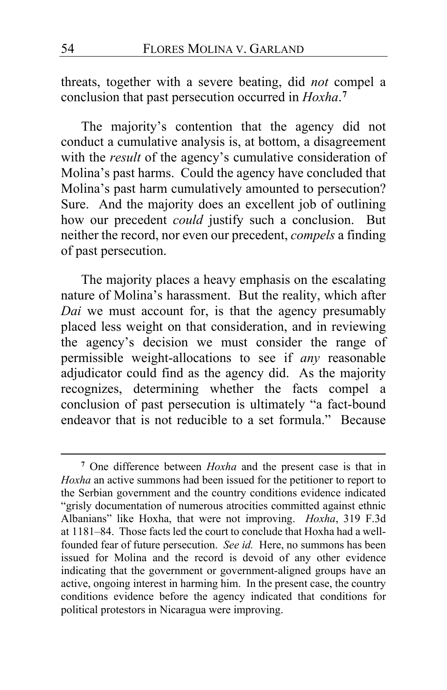threats, together with a severe beating, did *not* compel a conclusion that past persecution occurred in *Hoxha*. **[7](#page-53-0)**

The majority's contention that the agency did not conduct a cumulative analysis is, at bottom, a disagreement with the *result* of the agency's cumulative consideration of Molina's past harms. Could the agency have concluded that Molina's past harm cumulatively amounted to persecution? Sure. And the majority does an excellent job of outlining how our precedent *could* justify such a conclusion. But neither the record, nor even our precedent, *compels* a finding of past persecution.

The majority places a heavy emphasis on the escalating nature of Molina's harassment. But the reality, which after *Dai* we must account for, is that the agency presumably placed less weight on that consideration, and in reviewing the agency's decision we must consider the range of permissible weight-allocations to see if *any* reasonable adjudicator could find as the agency did. As the majority recognizes, determining whether the facts compel a conclusion of past persecution is ultimately "a fact-bound endeavor that is not reducible to a set formula." Because

<span id="page-53-0"></span>**<sup>7</sup>** One difference between *Hoxha* and the present case is that in *Hoxha* an active summons had been issued for the petitioner to report to the Serbian government and the country conditions evidence indicated "grisly documentation of numerous atrocities committed against ethnic Albanians" like Hoxha, that were not improving. *Hoxha*, 319 F.3d at 1181–84. Those facts led the court to conclude that Hoxha had a wellfounded fear of future persecution. *See id.* Here, no summons has been issued for Molina and the record is devoid of any other evidence indicating that the government or government-aligned groups have an active, ongoing interest in harming him. In the present case, the country conditions evidence before the agency indicated that conditions for political protestors in Nicaragua were improving.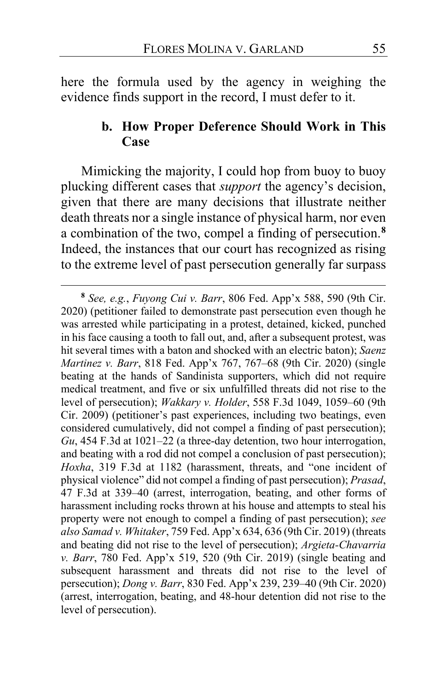here the formula used by the agency in weighing the evidence finds support in the record, I must defer to it.

# **b. How Proper Deference Should Work in This Case**

Mimicking the majority, I could hop from buoy to buoy plucking different cases that *support* the agency's decision, given that there are many decisions that illustrate neither death threats nor a single instance of physical harm, nor even a combination of the two, compel a finding of persecution.**[8](#page-54-0)** Indeed, the instances that our court has recognized as rising to the extreme level of past persecution generally far surpass

<span id="page-54-0"></span>**<sup>8</sup>** *See, e.g.*, *Fuyong Cui v. Barr*, 806 Fed. App'x 588, 590 (9th Cir. 2020) (petitioner failed to demonstrate past persecution even though he was arrested while participating in a protest, detained, kicked, punched in his face causing a tooth to fall out, and, after a subsequent protest, was hit several times with a baton and shocked with an electric baton); *Saenz Martinez v. Barr*, 818 Fed. App'x 767, 767–68 (9th Cir. 2020) (single beating at the hands of Sandinista supporters, which did not require medical treatment, and five or six unfulfilled threats did not rise to the level of persecution); *Wakkary v. Holder*, 558 F.3d 1049, 1059–60 (9th Cir. 2009) (petitioner's past experiences, including two beatings, even considered cumulatively, did not compel a finding of past persecution); *Gu*, 454 F.3d at 1021–22 (a three-day detention, two hour interrogation, and beating with a rod did not compel a conclusion of past persecution); *Hoxha*, 319 F.3d at 1182 (harassment, threats, and "one incident of physical violence" did not compel a finding of past persecution); *Prasad*, 47 F.3d at 339–40 (arrest, interrogation, beating, and other forms of harassment including rocks thrown at his house and attempts to steal his property were not enough to compel a finding of past persecution); *see also Samad v. Whitaker*, 759 Fed. App'x 634, 636 (9th Cir. 2019) (threats and beating did not rise to the level of persecution); *Argieta-Chavarria v. Barr*, 780 Fed. App'x 519, 520 (9th Cir. 2019) (single beating and subsequent harassment and threats did not rise to the level of persecution); *Dong v. Barr*, 830 Fed. App'x 239, 239–40 (9th Cir. 2020) (arrest, interrogation, beating, and 48-hour detention did not rise to the level of persecution).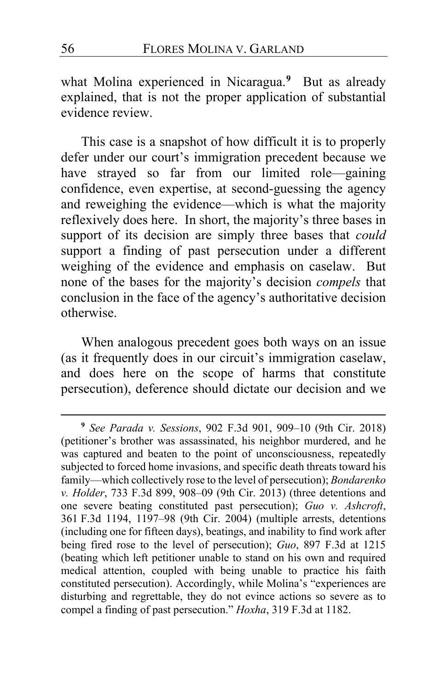what Molina experienced in Nicaragua.**[9](#page-55-0)** But as already explained, that is not the proper application of substantial evidence review.

This case is a snapshot of how difficult it is to properly defer under our court's immigration precedent because we have strayed so far from our limited role—gaining confidence, even expertise, at second-guessing the agency and reweighing the evidence—which is what the majority reflexively does here. In short, the majority's three bases in support of its decision are simply three bases that *could* support a finding of past persecution under a different weighing of the evidence and emphasis on caselaw. But none of the bases for the majority's decision *compels* that conclusion in the face of the agency's authoritative decision otherwise.

When analogous precedent goes both ways on an issue (as it frequently does in our circuit's immigration caselaw, and does here on the scope of harms that constitute persecution), deference should dictate our decision and we

<span id="page-55-0"></span>**<sup>9</sup>** *See Parada v. Sessions*, 902 F.3d 901, 909–10 (9th Cir. 2018) (petitioner's brother was assassinated, his neighbor murdered, and he was captured and beaten to the point of unconsciousness, repeatedly subjected to forced home invasions, and specific death threats toward his family—which collectively rose to the level of persecution); *Bondarenko v. Holder*, 733 F.3d 899, 908–09 (9th Cir. 2013) (three detentions and one severe beating constituted past persecution); *Guo v. Ashcroft*, 361 F.3d 1194, 1197–98 (9th Cir. 2004) (multiple arrests, detentions (including one for fifteen days), beatings, and inability to find work after being fired rose to the level of persecution); *Guo*, 897 F.3d at 1215 (beating which left petitioner unable to stand on his own and required medical attention, coupled with being unable to practice his faith constituted persecution). Accordingly, while Molina's "experiences are disturbing and regrettable, they do not evince actions so severe as to compel a finding of past persecution." *Hoxha*, 319 F.3d at 1182.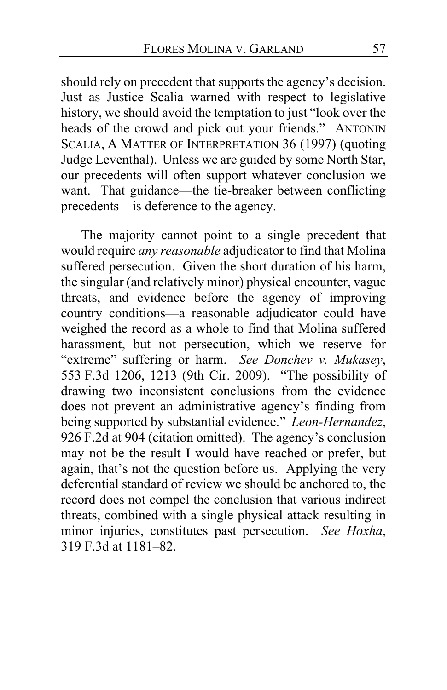should rely on precedent that supports the agency's decision. Just as Justice Scalia warned with respect to legislative history, we should avoid the temptation to just "look over the heads of the crowd and pick out your friends." ANTONIN SCALIA, A MATTER OF INTERPRETATION 36 (1997) (quoting Judge Leventhal). Unless we are guided by some North Star, our precedents will often support whatever conclusion we want. That guidance—the tie-breaker between conflicting precedents—is deference to the agency.

The majority cannot point to a single precedent that would require *any reasonable* adjudicator to find that Molina suffered persecution. Given the short duration of his harm, the singular (and relatively minor) physical encounter, vague threats, and evidence before the agency of improving country conditions—a reasonable adjudicator could have weighed the record as a whole to find that Molina suffered harassment, but not persecution, which we reserve for "extreme" suffering or harm. *See Donchev v. Mukasey*, 553 F.3d 1206, 1213 (9th Cir. 2009). "The possibility of drawing two inconsistent conclusions from the evidence does not prevent an administrative agency's finding from being supported by substantial evidence." *Leon-Hernandez*, 926 F.2d at 904 (citation omitted). The agency's conclusion may not be the result I would have reached or prefer, but again, that's not the question before us. Applying the very deferential standard of review we should be anchored to, the record does not compel the conclusion that various indirect threats, combined with a single physical attack resulting in minor injuries, constitutes past persecution. *See Hoxha*, 319 F.3d at 1181–82.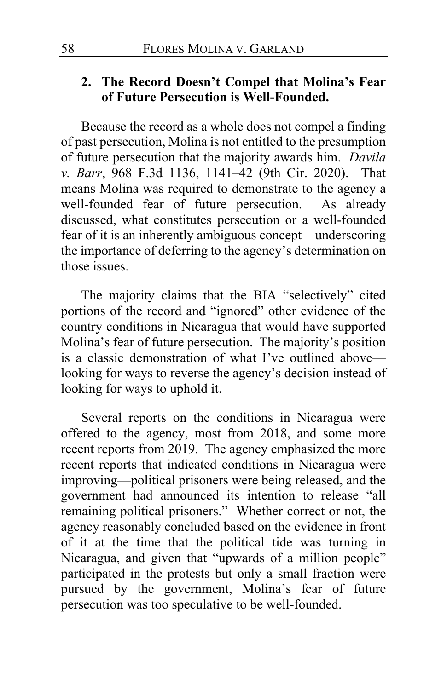# **2. The Record Doesn't Compel that Molina's Fear of Future Persecution is Well-Founded.**

Because the record as a whole does not compel a finding of past persecution, Molina is not entitled to the presumption of future persecution that the majority awards him. *Davila v. Barr*, 968 F.3d 1136, 1141–42 (9th Cir. 2020). That means Molina was required to demonstrate to the agency a well-founded fear of future persecution. As already discussed, what constitutes persecution or a well-founded fear of it is an inherently ambiguous concept—underscoring the importance of deferring to the agency's determination on those issues.

The majority claims that the BIA "selectively" cited portions of the record and "ignored" other evidence of the country conditions in Nicaragua that would have supported Molina's fear of future persecution. The majority's position is a classic demonstration of what I've outlined above looking for ways to reverse the agency's decision instead of looking for ways to uphold it.

Several reports on the conditions in Nicaragua were offered to the agency, most from 2018, and some more recent reports from 2019. The agency emphasized the more recent reports that indicated conditions in Nicaragua were improving—political prisoners were being released, and the government had announced its intention to release "all remaining political prisoners." Whether correct or not, the agency reasonably concluded based on the evidence in front of it at the time that the political tide was turning in Nicaragua, and given that "upwards of a million people" participated in the protests but only a small fraction were pursued by the government, Molina's fear of future persecution was too speculative to be well-founded.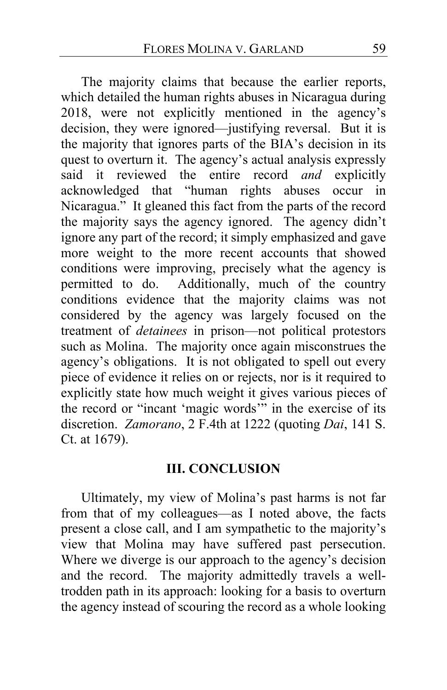The majority claims that because the earlier reports, which detailed the human rights abuses in Nicaragua during 2018, were not explicitly mentioned in the agency's decision, they were ignored—justifying reversal. But it is the majority that ignores parts of the BIA's decision in its quest to overturn it. The agency's actual analysis expressly said it reviewed the entire record *and* explicitly acknowledged that "human rights abuses occur in Nicaragua." It gleaned this fact from the parts of the record the majority says the agency ignored. The agency didn't ignore any part of the record; it simply emphasized and gave more weight to the more recent accounts that showed conditions were improving, precisely what the agency is permitted to do. Additionally, much of the country conditions evidence that the majority claims was not considered by the agency was largely focused on the treatment of *detainees* in prison—not political protestors such as Molina. The majority once again misconstrues the agency's obligations. It is not obligated to spell out every piece of evidence it relies on or rejects, nor is it required to explicitly state how much weight it gives various pieces of the record or "incant 'magic words'" in the exercise of its discretion. *Zamorano*, 2 F.4th at 1222 (quoting *Dai*, 141 S. Ct. at 1679).

## **III. CONCLUSION**

Ultimately, my view of Molina's past harms is not far from that of my colleagues—as I noted above, the facts present a close call, and I am sympathetic to the majority's view that Molina may have suffered past persecution. Where we diverge is our approach to the agency's decision and the record. The majority admittedly travels a welltrodden path in its approach: looking for a basis to overturn the agency instead of scouring the record as a whole looking